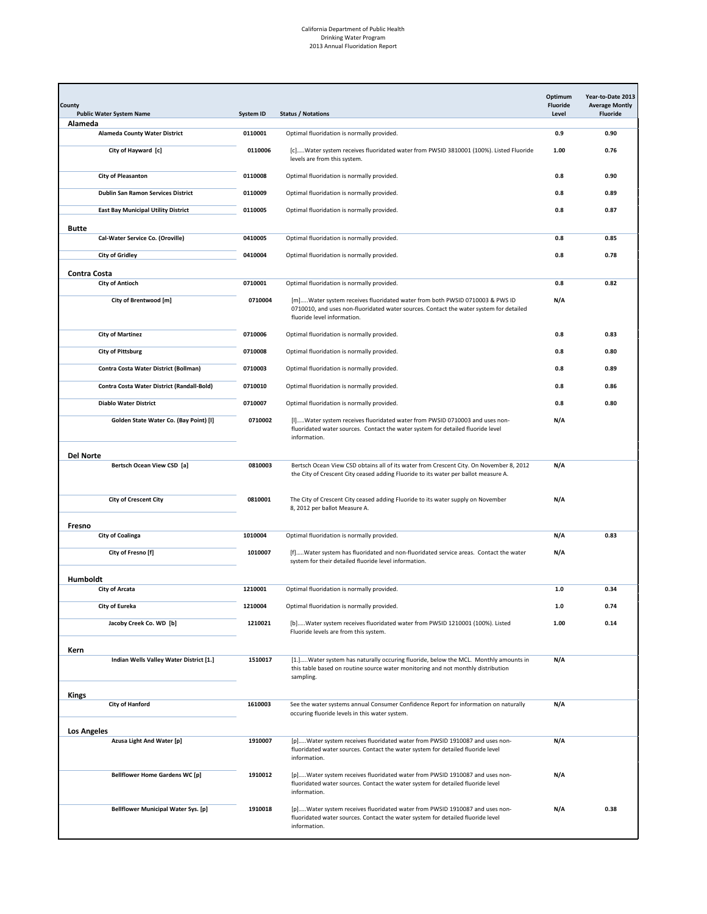| Alameda<br><b>Alameda County Water District</b><br>0110001<br>Optimal fluoridation is normally provided.<br>0.9<br>0110006<br>City of Hayward [c]<br>[c]Water system receives fluoridated water from PWSID 3810001 (100%). Listed Fluoride<br>1.00<br>levels are from this system.<br>0110008<br><b>City of Pleasanton</b><br>0.8<br>Optimal fluoridation is normally provided.<br>Dublin San Ramon Services District<br>0110009<br>Optimal fluoridation is normally provided.<br>0.8<br>0110005<br><b>East Bay Municipal Utility District</b><br>Optimal fluoridation is normally provided.<br>0.8<br><b>Butte</b><br>0410005<br>Cal-Water Service Co. (Oroville)<br>Optimal fluoridation is normally provided.<br>0.8<br>0410004<br><b>City of Gridley</b><br>Optimal fluoridation is normally provided.<br>0.8<br>Contra Costa<br>0710001<br><b>City of Antioch</b><br>Optimal fluoridation is normally provided.<br>0.8<br>0710004<br>N/A<br>City of Brentwood [m]<br>[m]Water system receives fluoridated water from both PWSID 0710003 & PWS ID<br>0710010, and uses non-fluoridated water sources. Contact the water system for detailed<br>fluoride level information.<br><b>City of Martinez</b><br>0710006<br>Optimal fluoridation is normally provided.<br>0.8<br><b>City of Pittsburg</b><br>0710008<br>Optimal fluoridation is normally provided.<br>0.8<br>Contra Costa Water District (Bollman)<br>0710003<br>Optimal fluoridation is normally provided.<br>0.8<br>Contra Costa Water District (Randall-Bold)<br>0710010<br>Optimal fluoridation is normally provided.<br>0.8<br>0710007<br><b>Diablo Water District</b><br>0.8<br>Optimal fluoridation is normally provided.<br>Golden State Water Co. (Bay Point) [I]<br>0710002<br>[I]Water system receives fluoridated water from PWSID 0710003 and uses non-<br>N/A<br>fluoridated water sources. Contact the water system for detailed fluoride level<br>information.<br>Del Norte<br>0810003<br>N/A<br>Bertsch Ocean View CSD [a]<br>Bertsch Ocean View CSD obtains all of its water from Crescent City. On November 8, 2012<br>the City of Crescent City ceased adding Fluoride to its water per ballot measure A.<br>0810001<br>N/A<br><b>City of Crescent City</b><br>The City of Crescent City ceased adding Fluoride to its water supply on November<br>8, 2012 per ballot Measure A.<br>Fresno<br>1010004<br><b>City of Coalinga</b><br>Optimal fluoridation is normally provided.<br>N/A<br>City of Fresno [f]<br>1010007<br>[f]Water system has fluoridated and non-fluoridated service areas. Contact the water<br>N/A<br>system for their detailed fluoride level information.<br>Humboldt<br>1210001<br><b>City of Arcata</b><br>Optimal fluoridation is normally provided.<br>1.0<br>1210004<br>City of Eureka<br>$1.0\,$<br>Optimal fluoridation is normally provided.<br>Jacoby Creek Co. WD [b]<br>1210021<br>[b]Water system receives fluoridated water from PWSID 1210001 (100%). Listed<br>1.00<br>Fluoride levels are from this system.<br>Kern<br>Indian Wells Valley Water District [1.]<br>1510017<br>[1.]Water system has naturally occuring fluoride, below the MCL. Monthly amounts in<br>N/A<br>this table based on routine source water monitoring and not monthly distribution<br>sampling.<br><b>Kings</b><br><b>City of Hanford</b><br>1610003<br>See the water systems annual Consumer Confidence Report for information on naturally<br>N/A<br>occuring fluoride levels in this water system.<br><b>Los Angeles</b><br>Azusa Light And Water [p]<br>1910007<br>[p]Water system receives fluoridated water from PWSID 1910087 and uses non-<br>N/A<br>fluoridated water sources. Contact the water system for detailed fluoride level<br>information.<br><b>Bellflower Home Gardens WC [p]</b><br>1910012<br>[p]Water system receives fluoridated water from PWSID 1910087 and uses non-<br>N/A | Year-to-Date 2013<br><b>Average Montly</b><br><b>Fluoride</b> | Optimum<br>Fluoride<br>Level | <b>Status / Notations</b>                                                       | <b>System ID</b> | County<br><b>Public Water System Name</b> |
|------------------------------------------------------------------------------------------------------------------------------------------------------------------------------------------------------------------------------------------------------------------------------------------------------------------------------------------------------------------------------------------------------------------------------------------------------------------------------------------------------------------------------------------------------------------------------------------------------------------------------------------------------------------------------------------------------------------------------------------------------------------------------------------------------------------------------------------------------------------------------------------------------------------------------------------------------------------------------------------------------------------------------------------------------------------------------------------------------------------------------------------------------------------------------------------------------------------------------------------------------------------------------------------------------------------------------------------------------------------------------------------------------------------------------------------------------------------------------------------------------------------------------------------------------------------------------------------------------------------------------------------------------------------------------------------------------------------------------------------------------------------------------------------------------------------------------------------------------------------------------------------------------------------------------------------------------------------------------------------------------------------------------------------------------------------------------------------------------------------------------------------------------------------------------------------------------------------------------------------------------------------------------------------------------------------------------------------------------------------------------------------------------------------------------------------------------------------------------------------------------------------------------------------------------------------------------------------------------------------------------------------------------------------------------------------------------------------------------------------------------------------------------------------------------------------------------------------------------------------------------------------------------------------------------------------------------------------------------------------------------------------------------------------------------------------------------------------------------------------------------------------------------------------------------------------------------------------------------------------------------------------------------------------------------------------------------------------------------------------------------------------------------------------------------------------------------------------------------------------------------------------------------------------------------------------------------------------------------------------------------------------------------------------------------------------------------------------------------------------------------------------------------------------------------------------------------------------------------------------------------------------------------|---------------------------------------------------------------|------------------------------|---------------------------------------------------------------------------------|------------------|-------------------------------------------|
|                                                                                                                                                                                                                                                                                                                                                                                                                                                                                                                                                                                                                                                                                                                                                                                                                                                                                                                                                                                                                                                                                                                                                                                                                                                                                                                                                                                                                                                                                                                                                                                                                                                                                                                                                                                                                                                                                                                                                                                                                                                                                                                                                                                                                                                                                                                                                                                                                                                                                                                                                                                                                                                                                                                                                                                                                                                                                                                                                                                                                                                                                                                                                                                                                                                                                                                                                                                                                                                                                                                                                                                                                                                                                                                                                                                                                                                                                                      |                                                               |                              |                                                                                 |                  |                                           |
|                                                                                                                                                                                                                                                                                                                                                                                                                                                                                                                                                                                                                                                                                                                                                                                                                                                                                                                                                                                                                                                                                                                                                                                                                                                                                                                                                                                                                                                                                                                                                                                                                                                                                                                                                                                                                                                                                                                                                                                                                                                                                                                                                                                                                                                                                                                                                                                                                                                                                                                                                                                                                                                                                                                                                                                                                                                                                                                                                                                                                                                                                                                                                                                                                                                                                                                                                                                                                                                                                                                                                                                                                                                                                                                                                                                                                                                                                                      | 0.90                                                          |                              |                                                                                 |                  |                                           |
|                                                                                                                                                                                                                                                                                                                                                                                                                                                                                                                                                                                                                                                                                                                                                                                                                                                                                                                                                                                                                                                                                                                                                                                                                                                                                                                                                                                                                                                                                                                                                                                                                                                                                                                                                                                                                                                                                                                                                                                                                                                                                                                                                                                                                                                                                                                                                                                                                                                                                                                                                                                                                                                                                                                                                                                                                                                                                                                                                                                                                                                                                                                                                                                                                                                                                                                                                                                                                                                                                                                                                                                                                                                                                                                                                                                                                                                                                                      | 0.76                                                          |                              |                                                                                 |                  |                                           |
|                                                                                                                                                                                                                                                                                                                                                                                                                                                                                                                                                                                                                                                                                                                                                                                                                                                                                                                                                                                                                                                                                                                                                                                                                                                                                                                                                                                                                                                                                                                                                                                                                                                                                                                                                                                                                                                                                                                                                                                                                                                                                                                                                                                                                                                                                                                                                                                                                                                                                                                                                                                                                                                                                                                                                                                                                                                                                                                                                                                                                                                                                                                                                                                                                                                                                                                                                                                                                                                                                                                                                                                                                                                                                                                                                                                                                                                                                                      | 0.90                                                          |                              |                                                                                 |                  |                                           |
|                                                                                                                                                                                                                                                                                                                                                                                                                                                                                                                                                                                                                                                                                                                                                                                                                                                                                                                                                                                                                                                                                                                                                                                                                                                                                                                                                                                                                                                                                                                                                                                                                                                                                                                                                                                                                                                                                                                                                                                                                                                                                                                                                                                                                                                                                                                                                                                                                                                                                                                                                                                                                                                                                                                                                                                                                                                                                                                                                                                                                                                                                                                                                                                                                                                                                                                                                                                                                                                                                                                                                                                                                                                                                                                                                                                                                                                                                                      | 0.89                                                          |                              |                                                                                 |                  |                                           |
|                                                                                                                                                                                                                                                                                                                                                                                                                                                                                                                                                                                                                                                                                                                                                                                                                                                                                                                                                                                                                                                                                                                                                                                                                                                                                                                                                                                                                                                                                                                                                                                                                                                                                                                                                                                                                                                                                                                                                                                                                                                                                                                                                                                                                                                                                                                                                                                                                                                                                                                                                                                                                                                                                                                                                                                                                                                                                                                                                                                                                                                                                                                                                                                                                                                                                                                                                                                                                                                                                                                                                                                                                                                                                                                                                                                                                                                                                                      | 0.87                                                          |                              |                                                                                 |                  |                                           |
|                                                                                                                                                                                                                                                                                                                                                                                                                                                                                                                                                                                                                                                                                                                                                                                                                                                                                                                                                                                                                                                                                                                                                                                                                                                                                                                                                                                                                                                                                                                                                                                                                                                                                                                                                                                                                                                                                                                                                                                                                                                                                                                                                                                                                                                                                                                                                                                                                                                                                                                                                                                                                                                                                                                                                                                                                                                                                                                                                                                                                                                                                                                                                                                                                                                                                                                                                                                                                                                                                                                                                                                                                                                                                                                                                                                                                                                                                                      |                                                               |                              |                                                                                 |                  |                                           |
|                                                                                                                                                                                                                                                                                                                                                                                                                                                                                                                                                                                                                                                                                                                                                                                                                                                                                                                                                                                                                                                                                                                                                                                                                                                                                                                                                                                                                                                                                                                                                                                                                                                                                                                                                                                                                                                                                                                                                                                                                                                                                                                                                                                                                                                                                                                                                                                                                                                                                                                                                                                                                                                                                                                                                                                                                                                                                                                                                                                                                                                                                                                                                                                                                                                                                                                                                                                                                                                                                                                                                                                                                                                                                                                                                                                                                                                                                                      | 0.85                                                          |                              |                                                                                 |                  |                                           |
|                                                                                                                                                                                                                                                                                                                                                                                                                                                                                                                                                                                                                                                                                                                                                                                                                                                                                                                                                                                                                                                                                                                                                                                                                                                                                                                                                                                                                                                                                                                                                                                                                                                                                                                                                                                                                                                                                                                                                                                                                                                                                                                                                                                                                                                                                                                                                                                                                                                                                                                                                                                                                                                                                                                                                                                                                                                                                                                                                                                                                                                                                                                                                                                                                                                                                                                                                                                                                                                                                                                                                                                                                                                                                                                                                                                                                                                                                                      | 0.78                                                          |                              |                                                                                 |                  |                                           |
|                                                                                                                                                                                                                                                                                                                                                                                                                                                                                                                                                                                                                                                                                                                                                                                                                                                                                                                                                                                                                                                                                                                                                                                                                                                                                                                                                                                                                                                                                                                                                                                                                                                                                                                                                                                                                                                                                                                                                                                                                                                                                                                                                                                                                                                                                                                                                                                                                                                                                                                                                                                                                                                                                                                                                                                                                                                                                                                                                                                                                                                                                                                                                                                                                                                                                                                                                                                                                                                                                                                                                                                                                                                                                                                                                                                                                                                                                                      |                                                               |                              |                                                                                 |                  |                                           |
|                                                                                                                                                                                                                                                                                                                                                                                                                                                                                                                                                                                                                                                                                                                                                                                                                                                                                                                                                                                                                                                                                                                                                                                                                                                                                                                                                                                                                                                                                                                                                                                                                                                                                                                                                                                                                                                                                                                                                                                                                                                                                                                                                                                                                                                                                                                                                                                                                                                                                                                                                                                                                                                                                                                                                                                                                                                                                                                                                                                                                                                                                                                                                                                                                                                                                                                                                                                                                                                                                                                                                                                                                                                                                                                                                                                                                                                                                                      | 0.82                                                          |                              |                                                                                 |                  |                                           |
|                                                                                                                                                                                                                                                                                                                                                                                                                                                                                                                                                                                                                                                                                                                                                                                                                                                                                                                                                                                                                                                                                                                                                                                                                                                                                                                                                                                                                                                                                                                                                                                                                                                                                                                                                                                                                                                                                                                                                                                                                                                                                                                                                                                                                                                                                                                                                                                                                                                                                                                                                                                                                                                                                                                                                                                                                                                                                                                                                                                                                                                                                                                                                                                                                                                                                                                                                                                                                                                                                                                                                                                                                                                                                                                                                                                                                                                                                                      |                                                               |                              |                                                                                 |                  |                                           |
|                                                                                                                                                                                                                                                                                                                                                                                                                                                                                                                                                                                                                                                                                                                                                                                                                                                                                                                                                                                                                                                                                                                                                                                                                                                                                                                                                                                                                                                                                                                                                                                                                                                                                                                                                                                                                                                                                                                                                                                                                                                                                                                                                                                                                                                                                                                                                                                                                                                                                                                                                                                                                                                                                                                                                                                                                                                                                                                                                                                                                                                                                                                                                                                                                                                                                                                                                                                                                                                                                                                                                                                                                                                                                                                                                                                                                                                                                                      | 0.83                                                          |                              |                                                                                 |                  |                                           |
|                                                                                                                                                                                                                                                                                                                                                                                                                                                                                                                                                                                                                                                                                                                                                                                                                                                                                                                                                                                                                                                                                                                                                                                                                                                                                                                                                                                                                                                                                                                                                                                                                                                                                                                                                                                                                                                                                                                                                                                                                                                                                                                                                                                                                                                                                                                                                                                                                                                                                                                                                                                                                                                                                                                                                                                                                                                                                                                                                                                                                                                                                                                                                                                                                                                                                                                                                                                                                                                                                                                                                                                                                                                                                                                                                                                                                                                                                                      | 0.80                                                          |                              |                                                                                 |                  |                                           |
|                                                                                                                                                                                                                                                                                                                                                                                                                                                                                                                                                                                                                                                                                                                                                                                                                                                                                                                                                                                                                                                                                                                                                                                                                                                                                                                                                                                                                                                                                                                                                                                                                                                                                                                                                                                                                                                                                                                                                                                                                                                                                                                                                                                                                                                                                                                                                                                                                                                                                                                                                                                                                                                                                                                                                                                                                                                                                                                                                                                                                                                                                                                                                                                                                                                                                                                                                                                                                                                                                                                                                                                                                                                                                                                                                                                                                                                                                                      | 0.89                                                          |                              |                                                                                 |                  |                                           |
|                                                                                                                                                                                                                                                                                                                                                                                                                                                                                                                                                                                                                                                                                                                                                                                                                                                                                                                                                                                                                                                                                                                                                                                                                                                                                                                                                                                                                                                                                                                                                                                                                                                                                                                                                                                                                                                                                                                                                                                                                                                                                                                                                                                                                                                                                                                                                                                                                                                                                                                                                                                                                                                                                                                                                                                                                                                                                                                                                                                                                                                                                                                                                                                                                                                                                                                                                                                                                                                                                                                                                                                                                                                                                                                                                                                                                                                                                                      | 0.86                                                          |                              |                                                                                 |                  |                                           |
|                                                                                                                                                                                                                                                                                                                                                                                                                                                                                                                                                                                                                                                                                                                                                                                                                                                                                                                                                                                                                                                                                                                                                                                                                                                                                                                                                                                                                                                                                                                                                                                                                                                                                                                                                                                                                                                                                                                                                                                                                                                                                                                                                                                                                                                                                                                                                                                                                                                                                                                                                                                                                                                                                                                                                                                                                                                                                                                                                                                                                                                                                                                                                                                                                                                                                                                                                                                                                                                                                                                                                                                                                                                                                                                                                                                                                                                                                                      |                                                               |                              |                                                                                 |                  |                                           |
|                                                                                                                                                                                                                                                                                                                                                                                                                                                                                                                                                                                                                                                                                                                                                                                                                                                                                                                                                                                                                                                                                                                                                                                                                                                                                                                                                                                                                                                                                                                                                                                                                                                                                                                                                                                                                                                                                                                                                                                                                                                                                                                                                                                                                                                                                                                                                                                                                                                                                                                                                                                                                                                                                                                                                                                                                                                                                                                                                                                                                                                                                                                                                                                                                                                                                                                                                                                                                                                                                                                                                                                                                                                                                                                                                                                                                                                                                                      | 0.80                                                          |                              |                                                                                 |                  |                                           |
|                                                                                                                                                                                                                                                                                                                                                                                                                                                                                                                                                                                                                                                                                                                                                                                                                                                                                                                                                                                                                                                                                                                                                                                                                                                                                                                                                                                                                                                                                                                                                                                                                                                                                                                                                                                                                                                                                                                                                                                                                                                                                                                                                                                                                                                                                                                                                                                                                                                                                                                                                                                                                                                                                                                                                                                                                                                                                                                                                                                                                                                                                                                                                                                                                                                                                                                                                                                                                                                                                                                                                                                                                                                                                                                                                                                                                                                                                                      |                                                               |                              |                                                                                 |                  |                                           |
|                                                                                                                                                                                                                                                                                                                                                                                                                                                                                                                                                                                                                                                                                                                                                                                                                                                                                                                                                                                                                                                                                                                                                                                                                                                                                                                                                                                                                                                                                                                                                                                                                                                                                                                                                                                                                                                                                                                                                                                                                                                                                                                                                                                                                                                                                                                                                                                                                                                                                                                                                                                                                                                                                                                                                                                                                                                                                                                                                                                                                                                                                                                                                                                                                                                                                                                                                                                                                                                                                                                                                                                                                                                                                                                                                                                                                                                                                                      |                                                               |                              |                                                                                 |                  |                                           |
|                                                                                                                                                                                                                                                                                                                                                                                                                                                                                                                                                                                                                                                                                                                                                                                                                                                                                                                                                                                                                                                                                                                                                                                                                                                                                                                                                                                                                                                                                                                                                                                                                                                                                                                                                                                                                                                                                                                                                                                                                                                                                                                                                                                                                                                                                                                                                                                                                                                                                                                                                                                                                                                                                                                                                                                                                                                                                                                                                                                                                                                                                                                                                                                                                                                                                                                                                                                                                                                                                                                                                                                                                                                                                                                                                                                                                                                                                                      |                                                               |                              |                                                                                 |                  |                                           |
|                                                                                                                                                                                                                                                                                                                                                                                                                                                                                                                                                                                                                                                                                                                                                                                                                                                                                                                                                                                                                                                                                                                                                                                                                                                                                                                                                                                                                                                                                                                                                                                                                                                                                                                                                                                                                                                                                                                                                                                                                                                                                                                                                                                                                                                                                                                                                                                                                                                                                                                                                                                                                                                                                                                                                                                                                                                                                                                                                                                                                                                                                                                                                                                                                                                                                                                                                                                                                                                                                                                                                                                                                                                                                                                                                                                                                                                                                                      |                                                               |                              |                                                                                 |                  |                                           |
|                                                                                                                                                                                                                                                                                                                                                                                                                                                                                                                                                                                                                                                                                                                                                                                                                                                                                                                                                                                                                                                                                                                                                                                                                                                                                                                                                                                                                                                                                                                                                                                                                                                                                                                                                                                                                                                                                                                                                                                                                                                                                                                                                                                                                                                                                                                                                                                                                                                                                                                                                                                                                                                                                                                                                                                                                                                                                                                                                                                                                                                                                                                                                                                                                                                                                                                                                                                                                                                                                                                                                                                                                                                                                                                                                                                                                                                                                                      |                                                               |                              |                                                                                 |                  |                                           |
|                                                                                                                                                                                                                                                                                                                                                                                                                                                                                                                                                                                                                                                                                                                                                                                                                                                                                                                                                                                                                                                                                                                                                                                                                                                                                                                                                                                                                                                                                                                                                                                                                                                                                                                                                                                                                                                                                                                                                                                                                                                                                                                                                                                                                                                                                                                                                                                                                                                                                                                                                                                                                                                                                                                                                                                                                                                                                                                                                                                                                                                                                                                                                                                                                                                                                                                                                                                                                                                                                                                                                                                                                                                                                                                                                                                                                                                                                                      | 0.83                                                          |                              |                                                                                 |                  |                                           |
|                                                                                                                                                                                                                                                                                                                                                                                                                                                                                                                                                                                                                                                                                                                                                                                                                                                                                                                                                                                                                                                                                                                                                                                                                                                                                                                                                                                                                                                                                                                                                                                                                                                                                                                                                                                                                                                                                                                                                                                                                                                                                                                                                                                                                                                                                                                                                                                                                                                                                                                                                                                                                                                                                                                                                                                                                                                                                                                                                                                                                                                                                                                                                                                                                                                                                                                                                                                                                                                                                                                                                                                                                                                                                                                                                                                                                                                                                                      |                                                               |                              |                                                                                 |                  |                                           |
|                                                                                                                                                                                                                                                                                                                                                                                                                                                                                                                                                                                                                                                                                                                                                                                                                                                                                                                                                                                                                                                                                                                                                                                                                                                                                                                                                                                                                                                                                                                                                                                                                                                                                                                                                                                                                                                                                                                                                                                                                                                                                                                                                                                                                                                                                                                                                                                                                                                                                                                                                                                                                                                                                                                                                                                                                                                                                                                                                                                                                                                                                                                                                                                                                                                                                                                                                                                                                                                                                                                                                                                                                                                                                                                                                                                                                                                                                                      |                                                               |                              |                                                                                 |                  |                                           |
|                                                                                                                                                                                                                                                                                                                                                                                                                                                                                                                                                                                                                                                                                                                                                                                                                                                                                                                                                                                                                                                                                                                                                                                                                                                                                                                                                                                                                                                                                                                                                                                                                                                                                                                                                                                                                                                                                                                                                                                                                                                                                                                                                                                                                                                                                                                                                                                                                                                                                                                                                                                                                                                                                                                                                                                                                                                                                                                                                                                                                                                                                                                                                                                                                                                                                                                                                                                                                                                                                                                                                                                                                                                                                                                                                                                                                                                                                                      | 0.34                                                          |                              |                                                                                 |                  |                                           |
|                                                                                                                                                                                                                                                                                                                                                                                                                                                                                                                                                                                                                                                                                                                                                                                                                                                                                                                                                                                                                                                                                                                                                                                                                                                                                                                                                                                                                                                                                                                                                                                                                                                                                                                                                                                                                                                                                                                                                                                                                                                                                                                                                                                                                                                                                                                                                                                                                                                                                                                                                                                                                                                                                                                                                                                                                                                                                                                                                                                                                                                                                                                                                                                                                                                                                                                                                                                                                                                                                                                                                                                                                                                                                                                                                                                                                                                                                                      | 0.74                                                          |                              |                                                                                 |                  |                                           |
|                                                                                                                                                                                                                                                                                                                                                                                                                                                                                                                                                                                                                                                                                                                                                                                                                                                                                                                                                                                                                                                                                                                                                                                                                                                                                                                                                                                                                                                                                                                                                                                                                                                                                                                                                                                                                                                                                                                                                                                                                                                                                                                                                                                                                                                                                                                                                                                                                                                                                                                                                                                                                                                                                                                                                                                                                                                                                                                                                                                                                                                                                                                                                                                                                                                                                                                                                                                                                                                                                                                                                                                                                                                                                                                                                                                                                                                                                                      | 0.14                                                          |                              |                                                                                 |                  |                                           |
|                                                                                                                                                                                                                                                                                                                                                                                                                                                                                                                                                                                                                                                                                                                                                                                                                                                                                                                                                                                                                                                                                                                                                                                                                                                                                                                                                                                                                                                                                                                                                                                                                                                                                                                                                                                                                                                                                                                                                                                                                                                                                                                                                                                                                                                                                                                                                                                                                                                                                                                                                                                                                                                                                                                                                                                                                                                                                                                                                                                                                                                                                                                                                                                                                                                                                                                                                                                                                                                                                                                                                                                                                                                                                                                                                                                                                                                                                                      |                                                               |                              |                                                                                 |                  |                                           |
|                                                                                                                                                                                                                                                                                                                                                                                                                                                                                                                                                                                                                                                                                                                                                                                                                                                                                                                                                                                                                                                                                                                                                                                                                                                                                                                                                                                                                                                                                                                                                                                                                                                                                                                                                                                                                                                                                                                                                                                                                                                                                                                                                                                                                                                                                                                                                                                                                                                                                                                                                                                                                                                                                                                                                                                                                                                                                                                                                                                                                                                                                                                                                                                                                                                                                                                                                                                                                                                                                                                                                                                                                                                                                                                                                                                                                                                                                                      |                                                               |                              |                                                                                 |                  |                                           |
|                                                                                                                                                                                                                                                                                                                                                                                                                                                                                                                                                                                                                                                                                                                                                                                                                                                                                                                                                                                                                                                                                                                                                                                                                                                                                                                                                                                                                                                                                                                                                                                                                                                                                                                                                                                                                                                                                                                                                                                                                                                                                                                                                                                                                                                                                                                                                                                                                                                                                                                                                                                                                                                                                                                                                                                                                                                                                                                                                                                                                                                                                                                                                                                                                                                                                                                                                                                                                                                                                                                                                                                                                                                                                                                                                                                                                                                                                                      |                                                               |                              |                                                                                 |                  |                                           |
|                                                                                                                                                                                                                                                                                                                                                                                                                                                                                                                                                                                                                                                                                                                                                                                                                                                                                                                                                                                                                                                                                                                                                                                                                                                                                                                                                                                                                                                                                                                                                                                                                                                                                                                                                                                                                                                                                                                                                                                                                                                                                                                                                                                                                                                                                                                                                                                                                                                                                                                                                                                                                                                                                                                                                                                                                                                                                                                                                                                                                                                                                                                                                                                                                                                                                                                                                                                                                                                                                                                                                                                                                                                                                                                                                                                                                                                                                                      |                                                               |                              |                                                                                 |                  |                                           |
|                                                                                                                                                                                                                                                                                                                                                                                                                                                                                                                                                                                                                                                                                                                                                                                                                                                                                                                                                                                                                                                                                                                                                                                                                                                                                                                                                                                                                                                                                                                                                                                                                                                                                                                                                                                                                                                                                                                                                                                                                                                                                                                                                                                                                                                                                                                                                                                                                                                                                                                                                                                                                                                                                                                                                                                                                                                                                                                                                                                                                                                                                                                                                                                                                                                                                                                                                                                                                                                                                                                                                                                                                                                                                                                                                                                                                                                                                                      |                                                               |                              |                                                                                 |                  |                                           |
|                                                                                                                                                                                                                                                                                                                                                                                                                                                                                                                                                                                                                                                                                                                                                                                                                                                                                                                                                                                                                                                                                                                                                                                                                                                                                                                                                                                                                                                                                                                                                                                                                                                                                                                                                                                                                                                                                                                                                                                                                                                                                                                                                                                                                                                                                                                                                                                                                                                                                                                                                                                                                                                                                                                                                                                                                                                                                                                                                                                                                                                                                                                                                                                                                                                                                                                                                                                                                                                                                                                                                                                                                                                                                                                                                                                                                                                                                                      |                                                               |                              |                                                                                 |                  |                                           |
| information.                                                                                                                                                                                                                                                                                                                                                                                                                                                                                                                                                                                                                                                                                                                                                                                                                                                                                                                                                                                                                                                                                                                                                                                                                                                                                                                                                                                                                                                                                                                                                                                                                                                                                                                                                                                                                                                                                                                                                                                                                                                                                                                                                                                                                                                                                                                                                                                                                                                                                                                                                                                                                                                                                                                                                                                                                                                                                                                                                                                                                                                                                                                                                                                                                                                                                                                                                                                                                                                                                                                                                                                                                                                                                                                                                                                                                                                                                         |                                                               |                              | fluoridated water sources. Contact the water system for detailed fluoride level |                  |                                           |
| N/A<br><b>Bellflower Municipal Water Sys. [p]</b><br>1910018<br>[p]Water system receives fluoridated water from PWSID 1910087 and uses non-<br>fluoridated water sources. Contact the water system for detailed fluoride level<br>information.                                                                                                                                                                                                                                                                                                                                                                                                                                                                                                                                                                                                                                                                                                                                                                                                                                                                                                                                                                                                                                                                                                                                                                                                                                                                                                                                                                                                                                                                                                                                                                                                                                                                                                                                                                                                                                                                                                                                                                                                                                                                                                                                                                                                                                                                                                                                                                                                                                                                                                                                                                                                                                                                                                                                                                                                                                                                                                                                                                                                                                                                                                                                                                                                                                                                                                                                                                                                                                                                                                                                                                                                                                                       | 0.38                                                          |                              |                                                                                 |                  |                                           |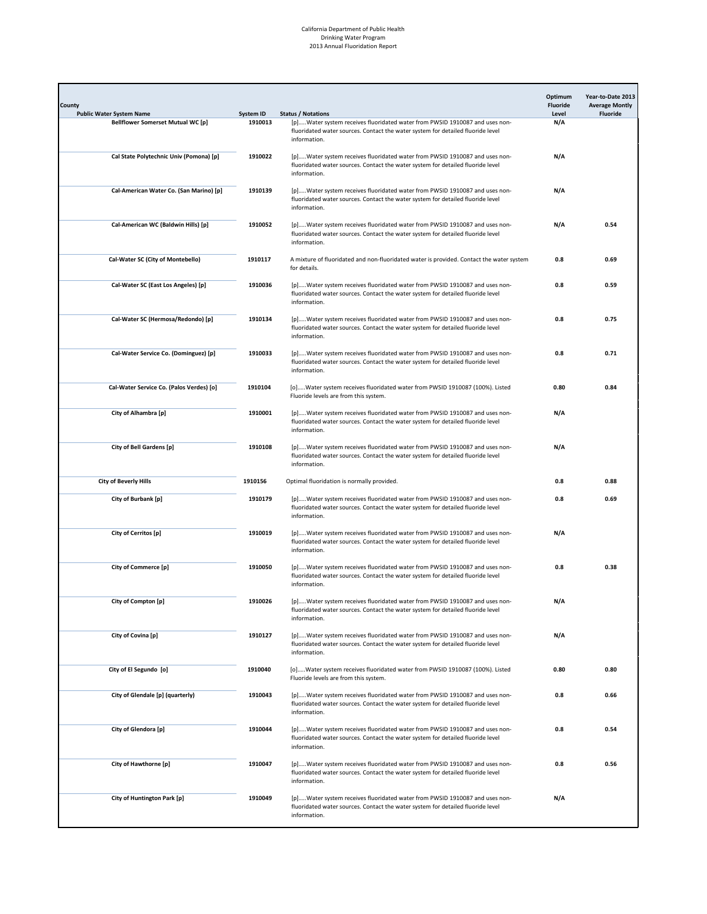| County<br><b>Public Water System Name</b> | System ID | <b>Status / Notations</b>                                                                                                                                                      | Optimum<br>Fluoride<br>Level | Year-to-Date 2013<br><b>Average Montly</b><br><b>Fluoride</b> |
|-------------------------------------------|-----------|--------------------------------------------------------------------------------------------------------------------------------------------------------------------------------|------------------------------|---------------------------------------------------------------|
| <b>Bellflower Somerset Mutual WC [p]</b>  | 1910013   | [p]Water system receives fluoridated water from PWSID 1910087 and uses non-<br>fluoridated water sources. Contact the water system for detailed fluoride level<br>information. | N/A                          |                                                               |
| Cal State Polytechnic Univ (Pomona) [p]   | 1910022   | [p]Water system receives fluoridated water from PWSID 1910087 and uses non-<br>fluoridated water sources. Contact the water system for detailed fluoride level<br>information. | N/A                          |                                                               |
| Cal-American Water Co. (San Marino) [p]   | 1910139   | [p]Water system receives fluoridated water from PWSID 1910087 and uses non-<br>fluoridated water sources. Contact the water system for detailed fluoride level<br>information. | N/A                          |                                                               |
| Cal-American WC (Baldwin Hills) [p]       | 1910052   | [p]Water system receives fluoridated water from PWSID 1910087 and uses non-<br>fluoridated water sources. Contact the water system for detailed fluoride level<br>information. | N/A                          | 0.54                                                          |
| Cal-Water SC (City of Montebello)         | 1910117   | A mixture of fluoridated and non-fluoridated water is provided. Contact the water system<br>for details.                                                                       | 0.8                          | 0.69                                                          |
| Cal-Water SC (East Los Angeles) [p]       | 1910036   | [p]Water system receives fluoridated water from PWSID 1910087 and uses non-<br>fluoridated water sources. Contact the water system for detailed fluoride level<br>information. | 0.8                          | 0.59                                                          |
| Cal-Water SC (Hermosa/Redondo) [p]        | 1910134   | [p]Water system receives fluoridated water from PWSID 1910087 and uses non-<br>fluoridated water sources. Contact the water system for detailed fluoride level<br>information. | 0.8                          | 0.75                                                          |
| Cal-Water Service Co. (Dominguez) [p]     | 1910033   | [p]Water system receives fluoridated water from PWSID 1910087 and uses non-<br>fluoridated water sources. Contact the water system for detailed fluoride level<br>information. | 0.8                          | 0.71                                                          |
| Cal-Water Service Co. (Palos Verdes) [o]  | 1910104   | [o]Water system receives fluoridated water from PWSID 1910087 (100%). Listed<br>Fluoride levels are from this system.                                                          | 0.80                         | 0.84                                                          |
| City of Alhambra [p]                      | 1910001   | [p]Water system receives fluoridated water from PWSID 1910087 and uses non-<br>fluoridated water sources. Contact the water system for detailed fluoride level<br>information. | N/A                          |                                                               |
| City of Bell Gardens [p]                  | 1910108   | [p]Water system receives fluoridated water from PWSID 1910087 and uses non-<br>fluoridated water sources. Contact the water system for detailed fluoride level<br>information. | N/A                          |                                                               |
| <b>City of Beverly Hills</b>              | 1910156   | Optimal fluoridation is normally provided.                                                                                                                                     | 0.8                          | 0.88                                                          |
| City of Burbank [p]                       | 1910179   | [p]Water system receives fluoridated water from PWSID 1910087 and uses non-<br>fluoridated water sources. Contact the water system for detailed fluoride level<br>information. | 0.8                          | 0.69                                                          |
| City of Cerritos [p]                      | 1910019   | [p]Water system receives fluoridated water from PWSID 1910087 and uses non-<br>fluoridated water sources. Contact the water system for detailed fluoride level<br>information. | N/A                          |                                                               |
| City of Commerce [p]                      | 1910050   | [p]Water system receives fluoridated water from PWSID 1910087 and uses non-<br>fluoridated water sources. Contact the water system for detailed fluoride level<br>information. | 0.8                          | 0.38                                                          |
| City of Compton [p]                       | 1910026   | [p]Water system receives fluoridated water from PWSID 1910087 and uses non-<br>fluoridated water sources. Contact the water system for detailed fluoride level<br>information. | N/A                          |                                                               |
| City of Covina [p]                        | 1910127   | [p]Water system receives fluoridated water from PWSID 1910087 and uses non-<br>fluoridated water sources. Contact the water system for detailed fluoride level<br>information. | N/A                          |                                                               |
| City of El Segundo [o]                    | 1910040   | [o]Water system receives fluoridated water from PWSID 1910087 (100%). Listed<br>Fluoride levels are from this system.                                                          | 0.80                         | 0.80                                                          |
| City of Glendale [p] (quarterly)          | 1910043   | [p]Water system receives fluoridated water from PWSID 1910087 and uses non-<br>fluoridated water sources. Contact the water system for detailed fluoride level<br>information. | 0.8                          | 0.66                                                          |
| City of Glendora [p]                      | 1910044   | [p]Water system receives fluoridated water from PWSID 1910087 and uses non-<br>fluoridated water sources. Contact the water system for detailed fluoride level<br>information. | 0.8                          | 0.54                                                          |
| City of Hawthorne [p]                     | 1910047   | [p]Water system receives fluoridated water from PWSID 1910087 and uses non-<br>fluoridated water sources. Contact the water system for detailed fluoride level<br>information. | 0.8                          | 0.56                                                          |
| City of Huntington Park [p]               | 1910049   | [p]Water system receives fluoridated water from PWSID 1910087 and uses non-<br>fluoridated water sources. Contact the water system for detailed fluoride level<br>information. | N/A                          |                                                               |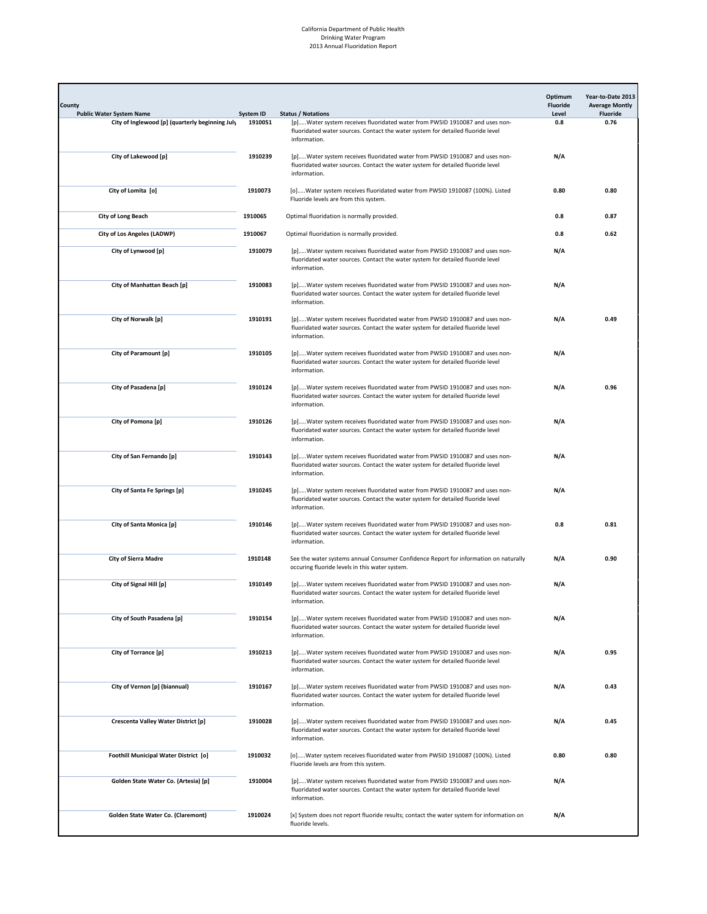| County<br><b>Public Water System Name</b>       | System ID | <b>Status / Notations</b>                                                                                                                                                      | Optimum<br>Fluoride<br>Level | Year-to-Date 2013<br><b>Average Montly</b><br><b>Fluoride</b> |
|-------------------------------------------------|-----------|--------------------------------------------------------------------------------------------------------------------------------------------------------------------------------|------------------------------|---------------------------------------------------------------|
| City of Inglewood [p] (quarterly beginning July | 1910051   | [p]Water system receives fluoridated water from PWSID 1910087 and uses non-<br>fluoridated water sources. Contact the water system for detailed fluoride level<br>information. | 0.8                          | 0.76                                                          |
| City of Lakewood [p]                            | 1910239   | [p]Water system receives fluoridated water from PWSID 1910087 and uses non-<br>fluoridated water sources. Contact the water system for detailed fluoride level<br>information. | N/A                          |                                                               |
| City of Lomita [o]                              | 1910073   | [o]Water system receives fluoridated water from PWSID 1910087 (100%). Listed<br>Fluoride levels are from this system.                                                          | 0.80                         | 0.80                                                          |
| City of Long Beach                              | 1910065   | Optimal fluoridation is normally provided.                                                                                                                                     | 0.8                          | 0.87                                                          |
| City of Los Angeles (LADWP)                     | 1910067   | Optimal fluoridation is normally provided.                                                                                                                                     | 0.8                          | 0.62                                                          |
| City of Lynwood [p]                             | 1910079   | [p]Water system receives fluoridated water from PWSID 1910087 and uses non-<br>fluoridated water sources. Contact the water system for detailed fluoride level<br>information. | N/A                          |                                                               |
| City of Manhattan Beach [p]                     | 1910083   | [p]Water system receives fluoridated water from PWSID 1910087 and uses non-<br>fluoridated water sources. Contact the water system for detailed fluoride level<br>information. | N/A                          |                                                               |
| City of Norwalk [p]                             | 1910191   | [p]Water system receives fluoridated water from PWSID 1910087 and uses non-<br>fluoridated water sources. Contact the water system for detailed fluoride level<br>information. | N/A                          | 0.49                                                          |
| City of Paramount [p]                           | 1910105   | [p]Water system receives fluoridated water from PWSID 1910087 and uses non-<br>fluoridated water sources. Contact the water system for detailed fluoride level<br>information. | N/A                          |                                                               |
| City of Pasadena [p]                            | 1910124   | [p]Water system receives fluoridated water from PWSID 1910087 and uses non-<br>fluoridated water sources. Contact the water system for detailed fluoride level<br>information. | N/A                          | 0.96                                                          |
| City of Pomona [p]                              | 1910126   | [p]Water system receives fluoridated water from PWSID 1910087 and uses non-<br>fluoridated water sources. Contact the water system for detailed fluoride level<br>information. | N/A                          |                                                               |
| City of San Fernando [p]                        | 1910143   | [p]Water system receives fluoridated water from PWSID 1910087 and uses non-<br>fluoridated water sources. Contact the water system for detailed fluoride level<br>information. | N/A                          |                                                               |
| City of Santa Fe Springs [p]                    | 1910245   | [p]Water system receives fluoridated water from PWSID 1910087 and uses non-<br>fluoridated water sources. Contact the water system for detailed fluoride level<br>information. | N/A                          |                                                               |
| City of Santa Monica [p]                        | 1910146   | [p]Water system receives fluoridated water from PWSID 1910087 and uses non-<br>fluoridated water sources. Contact the water system for detailed fluoride level<br>information. | 0.8                          | 0.81                                                          |
| <b>City of Sierra Madre</b>                     | 1910148   | See the water systems annual Consumer Confidence Report for information on naturally<br>occuring fluoride levels in this water system.                                         | N/A                          | 0.90                                                          |
| City of Signal Hill [p]                         | 1910149   | [p]Water system receives fluoridated water from PWSID 1910087 and uses non-<br>fluoridated water sources. Contact the water system for detailed fluoride level<br>information. | N/A                          |                                                               |
| City of South Pasadena [p]                      | 1910154   | [p]Water system receives fluoridated water from PWSID 1910087 and uses non-<br>fluoridated water sources. Contact the water system for detailed fluoride level<br>information. | N/A                          |                                                               |
| City of Torrance [p]                            | 1910213   | [p]Water system receives fluoridated water from PWSID 1910087 and uses non-<br>fluoridated water sources. Contact the water system for detailed fluoride level<br>information. | N/A                          | 0.95                                                          |
| City of Vernon [p] (biannual)                   | 1910167   | [p]Water system receives fluoridated water from PWSID 1910087 and uses non-<br>fluoridated water sources. Contact the water system for detailed fluoride level<br>information. | N/A                          | 0.43                                                          |
| Crescenta Valley Water District [p]             | 1910028   | [p]Water system receives fluoridated water from PWSID 1910087 and uses non-<br>fluoridated water sources. Contact the water system for detailed fluoride level<br>information. | N/A                          | 0.45                                                          |
| Foothill Municipal Water District [o]           | 1910032   | [o]Water system receives fluoridated water from PWSID 1910087 (100%). Listed<br>Fluoride levels are from this system.                                                          | 0.80                         | 0.80                                                          |
| Golden State Water Co. (Artesia) [p]            | 1910004   | [p]Water system receives fluoridated water from PWSID 1910087 and uses non-<br>fluoridated water sources. Contact the water system for detailed fluoride level<br>information. | N/A                          |                                                               |
| Golden State Water Co. (Claremont)              | 1910024   | [x] System does not report fluoride results; contact the water system for information on<br>fluoride levels.                                                                   | N/A                          |                                                               |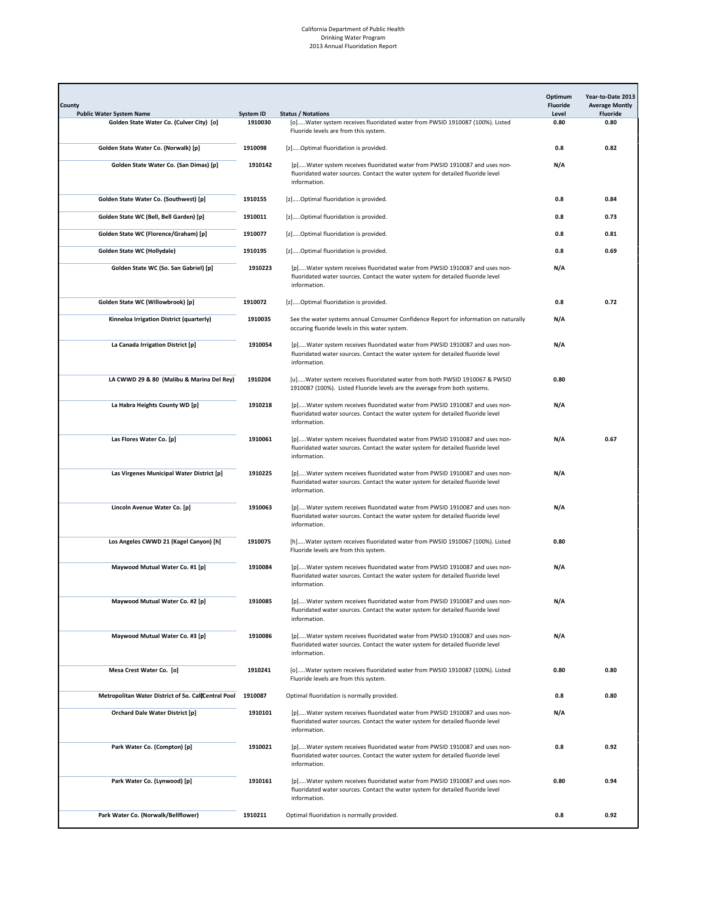| County<br><b>Public Water System Name</b>           | System ID | <b>Status / Notations</b>                                                                                                                                                      | Optimum<br>Fluoride<br>Level | Year-to-Date 2013<br><b>Average Montly</b><br><b>Fluoride</b> |
|-----------------------------------------------------|-----------|--------------------------------------------------------------------------------------------------------------------------------------------------------------------------------|------------------------------|---------------------------------------------------------------|
| Golden State Water Co. (Culver City) [o]            | 1910030   | [o]Water system receives fluoridated water from PWSID 1910087 (100%). Listed                                                                                                   | 0.80                         | 0.80                                                          |
|                                                     |           | Fluoride levels are from this system.                                                                                                                                          |                              |                                                               |
| Golden State Water Co. (Norwalk) [p]                | 1910098   | [z]Optimal fluoridation is provided.                                                                                                                                           | 0.8                          | 0.82                                                          |
| Golden State Water Co. (San Dimas) [p]              | 1910142   | [p]Water system receives fluoridated water from PWSID 1910087 and uses non-<br>fluoridated water sources. Contact the water system for detailed fluoride level<br>information. | N/A                          |                                                               |
| Golden State Water Co. (Southwest) [p]              | 1910155   | [z]Optimal fluoridation is provided.                                                                                                                                           | 0.8                          | 0.84                                                          |
| Golden State WC (Bell, Bell Garden) [p]             | 1910011   | [z]Optimal fluoridation is provided.                                                                                                                                           | 0.8                          | 0.73                                                          |
| Golden State WC (Florence/Graham) [p]               | 1910077   | [z]Optimal fluoridation is provided.                                                                                                                                           | 0.8                          | 0.81                                                          |
| Golden State WC (Hollydale)                         | 1910195   | [z]Optimal fluoridation is provided.                                                                                                                                           | 0.8                          | 0.69                                                          |
| Golden State WC (So. San Gabriel) [p]               | 1910223   | [p]Water system receives fluoridated water from PWSID 1910087 and uses non-<br>fluoridated water sources. Contact the water system for detailed fluoride level<br>information. | N/A                          |                                                               |
| Golden State WC (Willowbrook) [p]                   | 1910072   | [z]Optimal fluoridation is provided.                                                                                                                                           | 0.8                          | 0.72                                                          |
| Kinneloa Irrigation District (quarterly)            | 1910035   | See the water systems annual Consumer Confidence Report for information on naturally<br>occuring fluoride levels in this water system.                                         | N/A                          |                                                               |
| La Canada Irrigation District [p]                   | 1910054   | [p]Water system receives fluoridated water from PWSID 1910087 and uses non-<br>fluoridated water sources. Contact the water system for detailed fluoride level<br>information. | N/A                          |                                                               |
| LA CWWD 29 & 80 (Malibu & Marina Del Rey)           | 1910204   | [u]Water system receives fluoridated water from both PWSID 1910067 & PWSID<br>1910087 (100%). Listed Fluoride levels are the average from both systems.                        | 0.80                         |                                                               |
| La Habra Heights County WD [p]                      | 1910218   | [p]Water system receives fluoridated water from PWSID 1910087 and uses non-<br>fluoridated water sources. Contact the water system for detailed fluoride level<br>information. | N/A                          |                                                               |
| Las Flores Water Co. [p]                            | 1910061   | [p]Water system receives fluoridated water from PWSID 1910087 and uses non-<br>fluoridated water sources. Contact the water system for detailed fluoride level<br>information. | N/A                          | 0.67                                                          |
| Las Virgenes Municipal Water District [p]           | 1910225   | [p]Water system receives fluoridated water from PWSID 1910087 and uses non-<br>fluoridated water sources. Contact the water system for detailed fluoride level<br>information. | N/A                          |                                                               |
| Lincoln Avenue Water Co. [p]                        | 1910063   | [p]Water system receives fluoridated water from PWSID 1910087 and uses non-<br>fluoridated water sources. Contact the water system for detailed fluoride level<br>information. | N/A                          |                                                               |
| Los Angeles CWWD 21 (Kagel Canyon) [h]              | 1910075   | [h]Water system receives fluoridated water from PWSID 1910067 (100%). Listed<br>Fluoride levels are from this system.                                                          | 0.80                         |                                                               |
| Maywood Mutual Water Co. #1 [p]                     | 1910084   | [p]Water system receives fluoridated water from PWSID 1910087 and uses non-<br>fluoridated water sources. Contact the water system for detailed fluoride level<br>information. | N/A                          |                                                               |
| Maywood Mutual Water Co. #2 [p]                     | 1910085   | [p]Water system receives fluoridated water from PWSID 1910087 and uses non-<br>fluoridated water sources. Contact the water system for detailed fluoride level<br>information. | N/A                          |                                                               |
| Maywood Mutual Water Co. #3 [p]                     | 1910086   | [p]Water system receives fluoridated water from PWSID 1910087 and uses non-<br>fluoridated water sources. Contact the water system for detailed fluoride level<br>information. | N/A                          |                                                               |
| Mesa Crest Water Co. [o]                            | 1910241   | [o]Water system receives fluoridated water from PWSID 1910087 (100%). Listed<br>Fluoride levels are from this system.                                                          | 0.80                         | 0.80                                                          |
| Metropolitan Water District of So. CallCentral Pool | 1910087   | Optimal fluoridation is normally provided.                                                                                                                                     | 0.8                          | 0.80                                                          |
| <b>Orchard Dale Water District [p]</b>              | 1910101   | [p]Water system receives fluoridated water from PWSID 1910087 and uses non-<br>fluoridated water sources. Contact the water system for detailed fluoride level<br>information. | N/A                          |                                                               |
| Park Water Co. (Compton) [p]                        | 1910021   | [p]Water system receives fluoridated water from PWSID 1910087 and uses non-<br>fluoridated water sources. Contact the water system for detailed fluoride level<br>information. | 0.8                          | 0.92                                                          |
| Park Water Co. (Lynwood) [p]                        | 1910161   | [p]Water system receives fluoridated water from PWSID 1910087 and uses non-<br>fluoridated water sources. Contact the water system for detailed fluoride level<br>information. | 0.80                         | 0.94                                                          |
| Park Water Co. (Norwalk/Bellflower)                 | 1910211   | Optimal fluoridation is normally provided.                                                                                                                                     | 0.8                          | 0.92                                                          |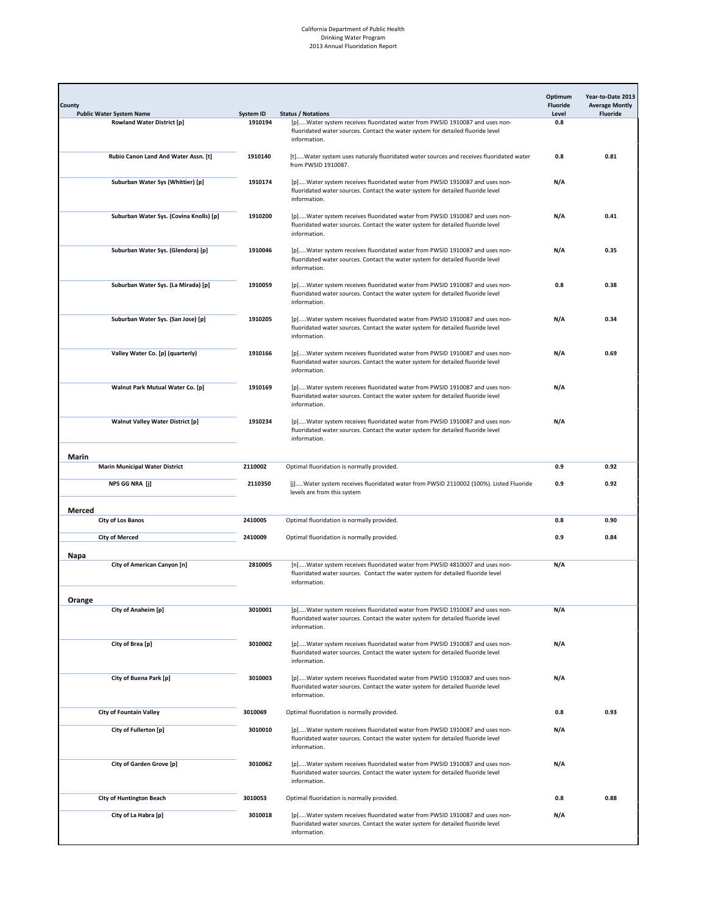| County<br><b>Public Water System Name</b> | System ID | <b>Status / Notations</b>                                                                                                                                                      | Optimum<br><b>Fluoride</b><br>Level | Year-to-Date 2013<br><b>Average Montly</b><br><b>Fluoride</b> |
|-------------------------------------------|-----------|--------------------------------------------------------------------------------------------------------------------------------------------------------------------------------|-------------------------------------|---------------------------------------------------------------|
| <b>Rowland Water District [p]</b>         | 1910194   | [p]Water system receives fluoridated water from PWSID 1910087 and uses non-<br>fluoridated water sources. Contact the water system for detailed fluoride level<br>information. | 0.8                                 |                                                               |
| Rubio Canon Land And Water Assn. [t]      | 1910140   | [t]Water system uses naturaly fluoridated water sources and receives fluoridated water<br>from PWSID 1910087.                                                                  | 0.8                                 | 0.81                                                          |
| Suburban Water Sys (Whittier) [p]         | 1910174   | [p]Water system receives fluoridated water from PWSID 1910087 and uses non-<br>fluoridated water sources. Contact the water system for detailed fluoride level<br>information. | N/A                                 |                                                               |
| Suburban Water Sys. (Covina Knolls) [p]   | 1910200   | [p]Water system receives fluoridated water from PWSID 1910087 and uses non-<br>fluoridated water sources. Contact the water system for detailed fluoride level<br>information. | N/A                                 | 0.41                                                          |
| Suburban Water Sys. (Glendora) [p]        | 1910046   | [p]Water system receives fluoridated water from PWSID 1910087 and uses non-<br>fluoridated water sources. Contact the water system for detailed fluoride level<br>information. | N/A                                 | 0.35                                                          |
| Suburban Water Sys. (La Mirada) [p]       | 1910059   | [p]Water system receives fluoridated water from PWSID 1910087 and uses non-<br>fluoridated water sources. Contact the water system for detailed fluoride level<br>information. | 0.8                                 | 0.38                                                          |
| Suburban Water Sys. (San Jose) [p]        | 1910205   | [p]Water system receives fluoridated water from PWSID 1910087 and uses non-<br>fluoridated water sources. Contact the water system for detailed fluoride level<br>information. | N/A                                 | 0.34                                                          |
| Valley Water Co. [p] (quarterly)          | 1910166   | [p]Water system receives fluoridated water from PWSID 1910087 and uses non-<br>fluoridated water sources. Contact the water system for detailed fluoride level<br>information. | N/A                                 | 0.69                                                          |
| Walnut Park Mutual Water Co. [p]          | 1910169   | [p]Water system receives fluoridated water from PWSID 1910087 and uses non-<br>fluoridated water sources. Contact the water system for detailed fluoride level<br>information. | N/A                                 |                                                               |
| <b>Walnut Valley Water District [p]</b>   | 1910234   | [p]Water system receives fluoridated water from PWSID 1910087 and uses non-<br>fluoridated water sources. Contact the water system for detailed fluoride level<br>information. | N/A                                 |                                                               |
| Marin                                     |           |                                                                                                                                                                                |                                     |                                                               |
| <b>Marin Municipal Water District</b>     | 2110002   | Optimal fluoridation is normally provided.                                                                                                                                     | 0.9                                 | 0.92                                                          |
| NPS GG NRA [j]                            | 2110350   | [j]Water system receives fluoridated water from PWSID 2110002 (100%). Listed Fluoride<br>levels are from this system                                                           | 0.9                                 | 0.92                                                          |
| Merced                                    |           |                                                                                                                                                                                |                                     |                                                               |
| <b>City of Los Banos</b>                  | 2410005   | Optimal fluoridation is normally provided.                                                                                                                                     | 0.8                                 | 0.90                                                          |
| <b>City of Merced</b><br>Napa             | 2410009   | Optimal fluoridation is normally provided.                                                                                                                                     | 0.9                                 | 0.84                                                          |
| City of American Canyon [n]               | 2810005   | [n]Water system receives fluoridated water from PWSID 4810007 and uses non-<br>fluoridated water sources. Contact the water system for detailed fluoride level<br>information. | N/A                                 |                                                               |
| Orange<br>City of Anaheim [p]             | 3010001   | [p]Water system receives fluoridated water from PWSID 1910087 and uses non-<br>fluoridated water sources. Contact the water system for detailed fluoride level<br>information. | N/A                                 |                                                               |
| City of Brea [p]                          | 3010002   | [p]Water system receives fluoridated water from PWSID 1910087 and uses non-<br>fluoridated water sources. Contact the water system for detailed fluoride level<br>information. | N/A                                 |                                                               |
| City of Buena Park [p]                    | 3010003   | [p]Water system receives fluoridated water from PWSID 1910087 and uses non-<br>fluoridated water sources. Contact the water system for detailed fluoride level<br>information. | N/A                                 |                                                               |
| <b>City of Fountain Valley</b>            | 3010069   | Optimal fluoridation is normally provided.                                                                                                                                     | 0.8                                 | 0.93                                                          |
| City of Fullerton [p]                     | 3010010   | [p]Water system receives fluoridated water from PWSID 1910087 and uses non-<br>fluoridated water sources. Contact the water system for detailed fluoride level<br>information. | N/A                                 |                                                               |
| City of Garden Grove [p]                  | 3010062   | [p]Water system receives fluoridated water from PWSID 1910087 and uses non-<br>fluoridated water sources. Contact the water system for detailed fluoride level<br>information. | N/A                                 |                                                               |
| <b>City of Huntington Beach</b>           | 3010053   | Optimal fluoridation is normally provided.                                                                                                                                     | 0.8                                 | 0.88                                                          |
| City of La Habra [p]                      | 3010018   | [p]Water system receives fluoridated water from PWSID 1910087 and uses non-<br>fluoridated water sources. Contact the water system for detailed fluoride level<br>information. | N/A                                 |                                                               |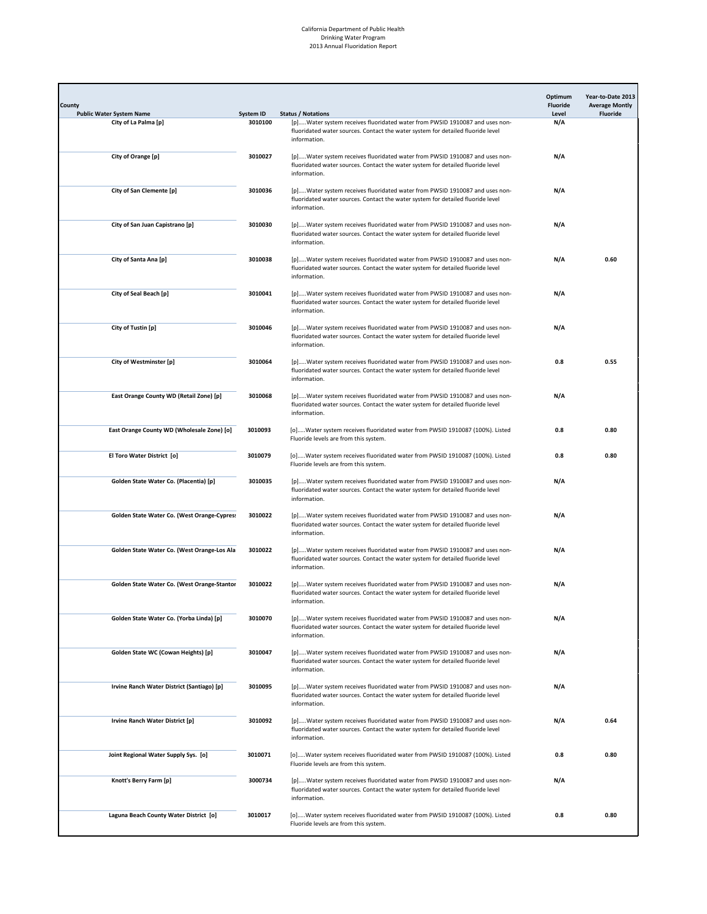| County<br><b>Public Water System Name</b>   | System ID | <b>Status / Notations</b>                                                                                                                                                      | Optimum<br>Fluoride<br>Level | Year-to-Date 2013<br><b>Average Montly</b><br><b>Fluoride</b> |
|---------------------------------------------|-----------|--------------------------------------------------------------------------------------------------------------------------------------------------------------------------------|------------------------------|---------------------------------------------------------------|
| City of La Palma [p]                        | 3010100   | [p]Water system receives fluoridated water from PWSID 1910087 and uses non-<br>fluoridated water sources. Contact the water system for detailed fluoride level<br>information. | N/A                          |                                                               |
| City of Orange [p]                          | 3010027   | [p]Water system receives fluoridated water from PWSID 1910087 and uses non-<br>fluoridated water sources. Contact the water system for detailed fluoride level<br>information. | N/A                          |                                                               |
| City of San Clemente [p]                    | 3010036   | [p]Water system receives fluoridated water from PWSID 1910087 and uses non-<br>fluoridated water sources. Contact the water system for detailed fluoride level<br>information. | N/A                          |                                                               |
| City of San Juan Capistrano [p]             | 3010030   | [p]Water system receives fluoridated water from PWSID 1910087 and uses non-<br>fluoridated water sources. Contact the water system for detailed fluoride level<br>information. | N/A                          |                                                               |
| City of Santa Ana [p]                       | 3010038   | [p]Water system receives fluoridated water from PWSID 1910087 and uses non-<br>fluoridated water sources. Contact the water system for detailed fluoride level<br>information. | N/A                          | 0.60                                                          |
| City of Seal Beach [p]                      | 3010041   | [p]Water system receives fluoridated water from PWSID 1910087 and uses non-<br>fluoridated water sources. Contact the water system for detailed fluoride level<br>information. | N/A                          |                                                               |
| City of Tustin [p]                          | 3010046   | [p]Water system receives fluoridated water from PWSID 1910087 and uses non-<br>fluoridated water sources. Contact the water system for detailed fluoride level<br>information. | N/A                          |                                                               |
| City of Westminster [p]                     | 3010064   | [p]Water system receives fluoridated water from PWSID 1910087 and uses non-<br>fluoridated water sources. Contact the water system for detailed fluoride level<br>information. | 0.8                          | 0.55                                                          |
| East Orange County WD (Retail Zone) [p]     | 3010068   | [p]Water system receives fluoridated water from PWSID 1910087 and uses non-<br>fluoridated water sources. Contact the water system for detailed fluoride level<br>information. | N/A                          |                                                               |
| East Orange County WD (Wholesale Zone) [o]  | 3010093   | [o]Water system receives fluoridated water from PWSID 1910087 (100%). Listed<br>Fluoride levels are from this system.                                                          | 0.8                          | 0.80                                                          |
| El Toro Water District [o]                  | 3010079   | [o]Water system receives fluoridated water from PWSID 1910087 (100%). Listed<br>Fluoride levels are from this system.                                                          | 0.8                          | 0.80                                                          |
| Golden State Water Co. (Placentia) [p]      | 3010035   | [p]Water system receives fluoridated water from PWSID 1910087 and uses non-<br>fluoridated water sources. Contact the water system for detailed fluoride level<br>information. | N/A                          |                                                               |
| Golden State Water Co. (West Orange-Cypres: | 3010022   | [p]Water system receives fluoridated water from PWSID 1910087 and uses non-<br>fluoridated water sources. Contact the water system for detailed fluoride level<br>information. | N/A                          |                                                               |
| Golden State Water Co. (West Orange-Los Ala | 3010022   | [p]Water system receives fluoridated water from PWSID 1910087 and uses non-<br>fluoridated water sources. Contact the water system for detailed fluoride level<br>information. | N/A                          |                                                               |
| Golden State Water Co. (West Orange-Stantor | 3010022   | [p]Water system receives fluoridated water from PWSID 1910087 and uses non-<br>fluoridated water sources. Contact the water system for detailed fluoride level<br>information. | N/A                          |                                                               |
| Golden State Water Co. (Yorba Linda) [p]    | 3010070   | [p]Water system receives fluoridated water from PWSID 1910087 and uses non-<br>fluoridated water sources. Contact the water system for detailed fluoride level<br>information. | N/A                          |                                                               |
| Golden State WC (Cowan Heights) [p]         | 3010047   | [p]Water system receives fluoridated water from PWSID 1910087 and uses non-<br>fluoridated water sources. Contact the water system for detailed fluoride level<br>information. | N/A                          |                                                               |
| Irvine Ranch Water District (Santiago) [p]  | 3010095   | [p]Water system receives fluoridated water from PWSID 1910087 and uses non-<br>fluoridated water sources. Contact the water system for detailed fluoride level<br>information. | N/A                          |                                                               |
| Irvine Ranch Water District [p]             | 3010092   | [p]Water system receives fluoridated water from PWSID 1910087 and uses non-<br>fluoridated water sources. Contact the water system for detailed fluoride level<br>information. | N/A                          | 0.64                                                          |
| Joint Regional Water Supply Sys. [o]        | 3010071   | [o]Water system receives fluoridated water from PWSID 1910087 (100%). Listed<br>Fluoride levels are from this system.                                                          | 0.8                          | 0.80                                                          |
| Knott's Berry Farm [p]                      | 3000734   | [p]Water system receives fluoridated water from PWSID 1910087 and uses non-<br>fluoridated water sources. Contact the water system for detailed fluoride level<br>information. | N/A                          |                                                               |
| Laguna Beach County Water District [o]      | 3010017   | [o]Water system receives fluoridated water from PWSID 1910087 (100%). Listed<br>Fluoride levels are from this system.                                                          | 0.8                          | 0.80                                                          |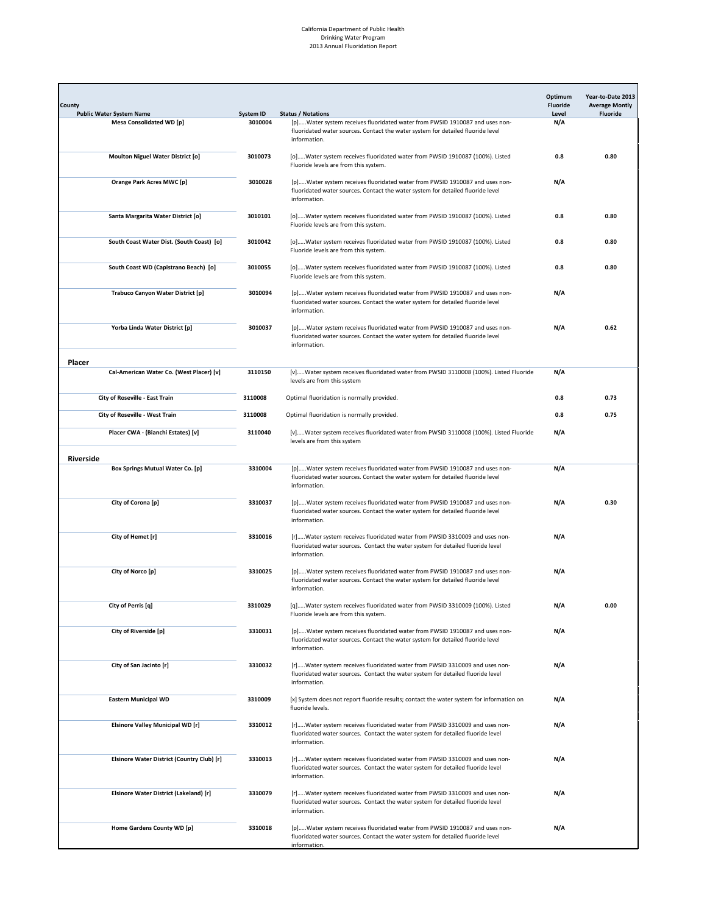| County<br><b>Public Water System Name</b>  | System ID | <b>Status / Notations</b>                                                                                                                                                      | Optimum<br><b>Fluoride</b><br>Level | Year-to-Date 2013<br><b>Average Montly</b><br><b>Fluoride</b> |
|--------------------------------------------|-----------|--------------------------------------------------------------------------------------------------------------------------------------------------------------------------------|-------------------------------------|---------------------------------------------------------------|
| <b>Mesa Consolidated WD [p]</b>            | 3010004   | [p]Water system receives fluoridated water from PWSID 1910087 and uses non-<br>fluoridated water sources. Contact the water system for detailed fluoride level<br>information. | N/A                                 |                                                               |
| <b>Moulton Niguel Water District [o]</b>   | 3010073   | [o]Water system receives fluoridated water from PWSID 1910087 (100%). Listed<br>Fluoride levels are from this system.                                                          | 0.8                                 | 0.80                                                          |
| Orange Park Acres MWC [p]                  | 3010028   | [p]Water system receives fluoridated water from PWSID 1910087 and uses non-<br>fluoridated water sources. Contact the water system for detailed fluoride level<br>information. | N/A                                 |                                                               |
| Santa Margarita Water District [o]         | 3010101   | [o]Water system receives fluoridated water from PWSID 1910087 (100%). Listed<br>Fluoride levels are from this system.                                                          | 0.8                                 | 0.80                                                          |
| South Coast Water Dist. (South Coast) [o]  | 3010042   | [o]Water system receives fluoridated water from PWSID 1910087 (100%). Listed<br>Fluoride levels are from this system.                                                          | 0.8                                 | 0.80                                                          |
| South Coast WD (Capistrano Beach) [o]      | 3010055   | [o]Water system receives fluoridated water from PWSID 1910087 (100%). Listed<br>Fluoride levels are from this system.                                                          | 0.8                                 | 0.80                                                          |
| Trabuco Canyon Water District [p]          | 3010094   | [p]Water system receives fluoridated water from PWSID 1910087 and uses non-<br>fluoridated water sources. Contact the water system for detailed fluoride level<br>information. | N/A                                 |                                                               |
| Yorba Linda Water District [p]             | 3010037   | [p]Water system receives fluoridated water from PWSID 1910087 and uses non-<br>fluoridated water sources. Contact the water system for detailed fluoride level<br>information. | N/A                                 | 0.62                                                          |
| Placer                                     |           |                                                                                                                                                                                |                                     |                                                               |
| Cal-American Water Co. (West Placer) [v]   | 3110150   | [v]Water system receives fluoridated water from PWSID 3110008 (100%). Listed Fluoride<br>levels are from this system                                                           | N/A                                 |                                                               |
| City of Roseville - East Train             | 3110008   | Optimal fluoridation is normally provided.                                                                                                                                     | 0.8                                 | 0.73                                                          |
| City of Roseville - West Train             | 3110008   | Optimal fluoridation is normally provided.                                                                                                                                     | 0.8                                 | 0.75                                                          |
| Placer CWA - (Bianchi Estates) [v]         | 3110040   | [v]Water system receives fluoridated water from PWSID 3110008 (100%). Listed Fluoride<br>levels are from this system                                                           | N/A                                 |                                                               |
| Riverside                                  |           |                                                                                                                                                                                |                                     |                                                               |
| Box Springs Mutual Water Co. [p]           | 3310004   | [p]Water system receives fluoridated water from PWSID 1910087 and uses non-<br>fluoridated water sources. Contact the water system for detailed fluoride level<br>information. | N/A                                 |                                                               |
| City of Corona [p]                         | 3310037   | [p]Water system receives fluoridated water from PWSID 1910087 and uses non-<br>fluoridated water sources. Contact the water system for detailed fluoride level<br>information. | N/A                                 | 0.30                                                          |
| City of Hemet [r]                          | 3310016   | [r]Water system receives fluoridated water from PWSID 3310009 and uses non-<br>fluoridated water sources. Contact the water system for detailed fluoride level<br>information. | N/A                                 |                                                               |
| City of Norco [p]                          | 3310025   | [p]Water system receives fluoridated water from PWSID 1910087 and uses non-<br>fluoridated water sources. Contact the water system for detailed fluoride level<br>information. | N/A                                 |                                                               |
| City of Perris [q]                         | 3310029   | [q]Water system receives fluoridated water from PWSID 3310009 (100%). Listed<br>Fluoride levels are from this system.                                                          | N/A                                 | 0.00                                                          |
| City of Riverside [p]                      | 3310031   | [p]Water system receives fluoridated water from PWSID 1910087 and uses non-<br>fluoridated water sources. Contact the water system for detailed fluoride level<br>information. | N/A                                 |                                                               |
| City of San Jacinto [r]                    | 3310032   | [r]Water system receives fluoridated water from PWSID 3310009 and uses non-<br>fluoridated water sources. Contact the water system for detailed fluoride level<br>information. | N/A                                 |                                                               |
| <b>Eastern Municipal WD</b>                | 3310009   | [x] System does not report fluoride results; contact the water system for information on<br>fluoride levels.                                                                   | N/A                                 |                                                               |
| <b>Elsinore Valley Municipal WD [r]</b>    | 3310012   | [r]Water system receives fluoridated water from PWSID 3310009 and uses non-<br>fluoridated water sources. Contact the water system for detailed fluoride level<br>information. | N/A                                 |                                                               |
| Elsinore Water District (Country Club) [r] | 3310013   | [r]Water system receives fluoridated water from PWSID 3310009 and uses non-<br>fluoridated water sources. Contact the water system for detailed fluoride level<br>information. | N/A                                 |                                                               |
| Elsinore Water District (Lakeland) [r]     | 3310079   | [r]Water system receives fluoridated water from PWSID 3310009 and uses non-<br>fluoridated water sources. Contact the water system for detailed fluoride level<br>information. | N/A                                 |                                                               |
| Home Gardens County WD [p]                 | 3310018   | [p]Water system receives fluoridated water from PWSID 1910087 and uses non-<br>fluoridated water sources. Contact the water system for detailed fluoride level<br>information. | N/A                                 |                                                               |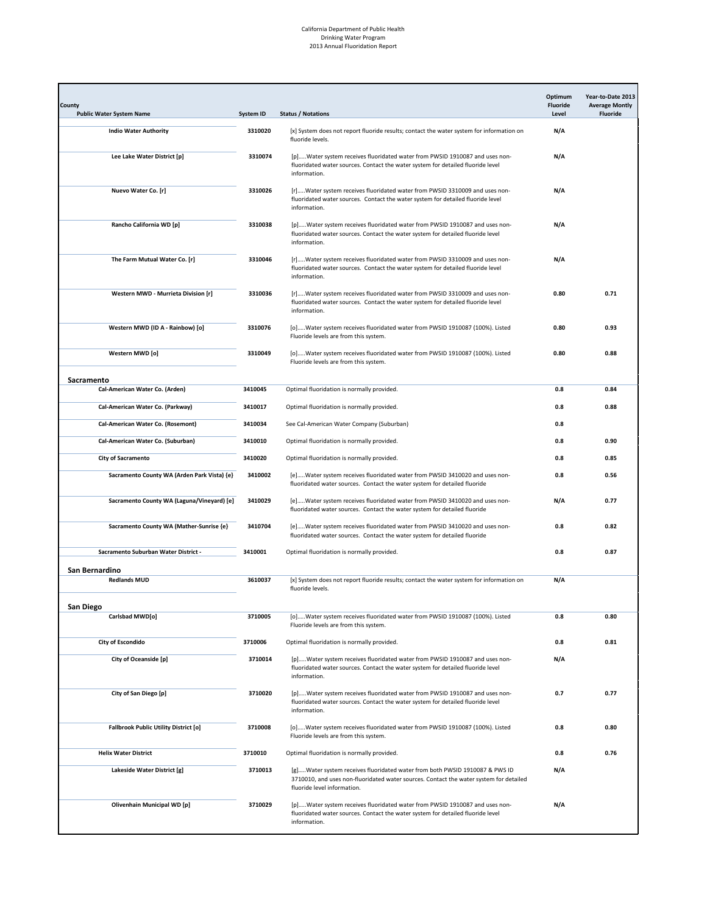| County<br><b>Public Water System Name</b>    | <b>System ID</b> | <b>Status / Notations</b>                                                                                                                                                                            | Optimum<br><b>Fluoride</b><br>Level | Year-to-Date 2013<br><b>Average Montly</b><br><b>Fluoride</b> |
|----------------------------------------------|------------------|------------------------------------------------------------------------------------------------------------------------------------------------------------------------------------------------------|-------------------------------------|---------------------------------------------------------------|
| <b>Indio Water Authority</b>                 | 3310020          | [x] System does not report fluoride results; contact the water system for information on<br>fluoride levels.                                                                                         | N/A                                 |                                                               |
| Lee Lake Water District [p]                  | 3310074          | [p]Water system receives fluoridated water from PWSID 1910087 and uses non-<br>fluoridated water sources. Contact the water system for detailed fluoride level<br>information.                       | N/A                                 |                                                               |
| Nuevo Water Co. [r]                          | 3310026          | [r]Water system receives fluoridated water from PWSID 3310009 and uses non-<br>fluoridated water sources. Contact the water system for detailed fluoride level<br>information.                       | N/A                                 |                                                               |
| Rancho California WD [p]                     | 3310038          | [p]Water system receives fluoridated water from PWSID 1910087 and uses non-<br>fluoridated water sources. Contact the water system for detailed fluoride level<br>information.                       | N/A                                 |                                                               |
| The Farm Mutual Water Co. [r]                | 3310046          | [r]Water system receives fluoridated water from PWSID 3310009 and uses non-<br>fluoridated water sources. Contact the water system for detailed fluoride level<br>information.                       | N/A                                 |                                                               |
| Western MWD - Murrieta Division [r]          | 3310036          | [r]Water system receives fluoridated water from PWSID 3310009 and uses non-<br>fluoridated water sources. Contact the water system for detailed fluoride level<br>information.                       | 0.80                                | 0.71                                                          |
| Western MWD (ID A - Rainbow) [o]             | 3310076          | [o]Water system receives fluoridated water from PWSID 1910087 (100%). Listed<br>Fluoride levels are from this system.                                                                                | 0.80                                | 0.93                                                          |
| Western MWD [o]                              | 3310049          | [o]Water system receives fluoridated water from PWSID 1910087 (100%). Listed<br>Fluoride levels are from this system.                                                                                | 0.80                                | 0.88                                                          |
| Sacramento                                   |                  |                                                                                                                                                                                                      |                                     |                                                               |
| Cal-American Water Co. (Arden)               | 3410045          | Optimal fluoridation is normally provided.                                                                                                                                                           | 0.8                                 | 0.84                                                          |
| Cal-American Water Co. (Parkway)             | 3410017          | Optimal fluoridation is normally provided.                                                                                                                                                           | 0.8                                 | 0.88                                                          |
| Cal-American Water Co. (Rosemont)            | 3410034          | See Cal-American Water Company (Suburban)                                                                                                                                                            | 0.8                                 |                                                               |
| Cal-American Water Co. (Suburban)            | 3410010          | Optimal fluoridation is normally provided.                                                                                                                                                           | 0.8                                 | 0.90                                                          |
| City of Sacramento                           | 3410020          | Optimal fluoridation is normally provided.                                                                                                                                                           | 0.8                                 | 0.85                                                          |
| Sacramento County WA (Arden Park Vista) {e}  | 3410002          | [e]Water system receives fluoridated water from PWSID 3410020 and uses non-<br>fluoridated water sources. Contact the water system for detailed fluoride                                             | 0.8                                 | 0.56                                                          |
| Sacramento County WA (Laguna/Vineyard) [e]   | 3410029          | [e]Water system receives fluoridated water from PWSID 3410020 and uses non-<br>fluoridated water sources. Contact the water system for detailed fluoride                                             | N/A                                 | 0.77                                                          |
| Sacramento County WA (Mather-Sunrise {e}     | 3410704          | [e]Water system receives fluoridated water from PWSID 3410020 and uses non-<br>fluoridated water sources. Contact the water system for detailed fluoride                                             | 0.8                                 | 0.82                                                          |
| Sacramento Suburban Water District -         | 3410001          | Optimal fluoridation is normally provided.                                                                                                                                                           | 0.8                                 | 0.87                                                          |
| San Bernardino                               |                  |                                                                                                                                                                                                      |                                     |                                                               |
| <b>Redlands MUD</b>                          | 3610037          | [x] System does not report fluoride results; contact the water system for information on<br>fluoride levels.                                                                                         | N/A                                 |                                                               |
| San Diego                                    |                  |                                                                                                                                                                                                      |                                     |                                                               |
| Carlsbad MWD[o]                              | 3710005          | [o]Water system receives fluoridated water from PWSID 1910087 (100%). Listed<br>Fluoride levels are from this system.                                                                                | 0.8                                 | 0.80                                                          |
| <b>City of Escondido</b>                     | 3710006          | Optimal fluoridation is normally provided.                                                                                                                                                           | 0.8                                 | 0.81                                                          |
| City of Oceanside [p]                        | 3710014          | [p]Water system receives fluoridated water from PWSID 1910087 and uses non-<br>fluoridated water sources. Contact the water system for detailed fluoride level<br>information.                       | N/A                                 |                                                               |
| City of San Diego [p]                        | 3710020          | [p]Water system receives fluoridated water from PWSID 1910087 and uses non-<br>fluoridated water sources. Contact the water system for detailed fluoride level<br>information.                       | 0.7                                 | 0.77                                                          |
| <b>Fallbrook Public Utility District [o]</b> | 3710008          | [o]Water system receives fluoridated water from PWSID 1910087 (100%). Listed<br>Fluoride levels are from this system.                                                                                | 0.8                                 | 0.80                                                          |
| <b>Helix Water District</b>                  | 3710010          | Optimal fluoridation is normally provided.                                                                                                                                                           | 0.8                                 | 0.76                                                          |
| Lakeside Water District [g]                  | 3710013          | [g]Water system receives fluoridated water from both PWSID 1910087 & PWS ID<br>3710010, and uses non-fluoridated water sources. Contact the water system for detailed<br>fluoride level information. | N/A                                 |                                                               |
| Olivenhain Municipal WD [p]                  | 3710029          | [p]Water system receives fluoridated water from PWSID 1910087 and uses non-<br>fluoridated water sources. Contact the water system for detailed fluoride level<br>information.                       | N/A                                 |                                                               |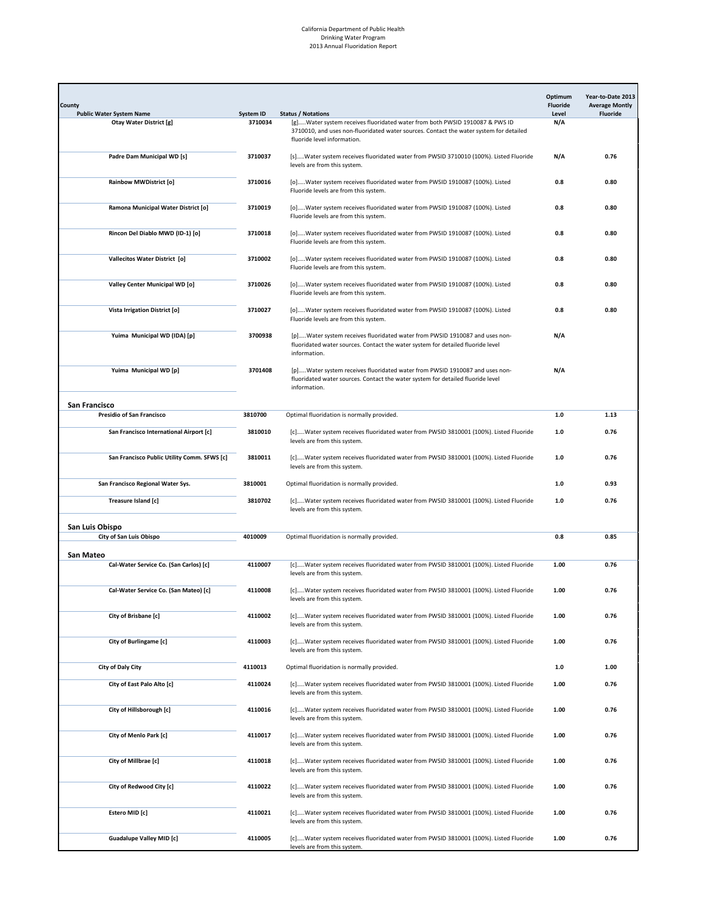| County<br><b>Public Water System Name</b>   | System ID | <b>Status / Notations</b>                                                                                                                                                                            | Optimum<br><b>Fluoride</b><br>Level | Year-to-Date 2013<br><b>Average Montly</b><br><b>Fluoride</b> |
|---------------------------------------------|-----------|------------------------------------------------------------------------------------------------------------------------------------------------------------------------------------------------------|-------------------------------------|---------------------------------------------------------------|
| <b>Otay Water District [g]</b>              | 3710034   | [g]Water system receives fluoridated water from both PWSID 1910087 & PWS ID<br>3710010, and uses non-fluoridated water sources. Contact the water system for detailed<br>fluoride level information. | N/A                                 |                                                               |
| Padre Dam Municipal WD [s]                  | 3710037   | [s]Water system receives fluoridated water from PWSID 3710010 (100%). Listed Fluoride<br>levels are from this system.                                                                                | N/A                                 | 0.76                                                          |
| <b>Rainbow MWDistrict [o]</b>               | 3710016   | [o]Water system receives fluoridated water from PWSID 1910087 (100%). Listed<br>Fluoride levels are from this system.                                                                                | 0.8                                 | 0.80                                                          |
| Ramona Municipal Water District [o]         | 3710019   | [o]Water system receives fluoridated water from PWSID 1910087 (100%). Listed<br>Fluoride levels are from this system.                                                                                | 0.8                                 | 0.80                                                          |
| Rincon Del Diablo MWD (ID-1) [o]            | 3710018   | [o]Water system receives fluoridated water from PWSID 1910087 (100%). Listed<br>Fluoride levels are from this system.                                                                                | 0.8                                 | 0.80                                                          |
| Vallecitos Water District [o]               | 3710002   | [o]Water system receives fluoridated water from PWSID 1910087 (100%). Listed<br>Fluoride levels are from this system.                                                                                | 0.8                                 | 0.80                                                          |
| Valley Center Municipal WD [o]              | 3710026   | [o]Water system receives fluoridated water from PWSID 1910087 (100%). Listed<br>Fluoride levels are from this system.                                                                                | 0.8                                 | 0.80                                                          |
| Vista Irrigation District [o]               | 3710027   | [o]Water system receives fluoridated water from PWSID 1910087 (100%). Listed<br>Fluoride levels are from this system.                                                                                | 0.8                                 | 0.80                                                          |
| Yuima Municipal WD (IDA) [p]                | 3700938   | [p]Water system receives fluoridated water from PWSID 1910087 and uses non-<br>fluoridated water sources. Contact the water system for detailed fluoride level<br>information.                       | N/A                                 |                                                               |
| Yuima Municipal WD [p]                      | 3701408   | [p]Water system receives fluoridated water from PWSID 1910087 and uses non-<br>fluoridated water sources. Contact the water system for detailed fluoride level<br>information.                       | N/A                                 |                                                               |
| San Francisco                               |           |                                                                                                                                                                                                      |                                     |                                                               |
| Presidio of San Francisco                   | 3810700   | Optimal fluoridation is normally provided.                                                                                                                                                           | $1.0$                               | 1.13                                                          |
| San Francisco International Airport [c]     | 3810010   | [c]Water system receives fluoridated water from PWSID 3810001 (100%). Listed Fluoride<br>levels are from this system.                                                                                | $1.0$                               | 0.76                                                          |
| San Francisco Public Utility Comm. SFWS [c] | 3810011   | [c]Water system receives fluoridated water from PWSID 3810001 (100%). Listed Fluoride<br>levels are from this system.                                                                                | $1.0$                               | 0.76                                                          |
| San Francisco Regional Water Sys.           | 3810001   | Optimal fluoridation is normally provided.                                                                                                                                                           | 1.0                                 | 0.93                                                          |
| Treasure Island [c]                         | 3810702   | [c]Water system receives fluoridated water from PWSID 3810001 (100%). Listed Fluoride<br>levels are from this system.                                                                                | 1.0                                 | 0.76                                                          |
| San Luis Obispo                             |           |                                                                                                                                                                                                      |                                     |                                                               |
| City of San Luis Obispo                     | 4010009   | Optimal fluoridation is normally provided.                                                                                                                                                           | 0.8                                 | 0.85                                                          |
| San Mateo                                   |           |                                                                                                                                                                                                      |                                     |                                                               |
| Cal-Water Service Co. (San Carlos) [c]      | 4110007   | [c]Water system receives fluoridated water from PWSID 3810001 (100%). Listed Fluoride<br>levels are from this system.                                                                                | 1.00                                | 0.76                                                          |
| Cal-Water Service Co. (San Mateo) [c]       | 4110008   | [c]Water system receives fluoridated water from PWSID 3810001 (100%). Listed Fluoride<br>levels are from this system.                                                                                | 1.00                                | 0.76                                                          |
| City of Brisbane [c]                        | 4110002   | [c]Water system receives fluoridated water from PWSID 3810001 (100%). Listed Fluoride<br>levels are from this system.                                                                                | 1.00                                | 0.76                                                          |
| City of Burlingame [c]                      | 4110003   | [c]Water system receives fluoridated water from PWSID 3810001 (100%). Listed Fluoride<br>levels are from this system.                                                                                | 1.00                                | 0.76                                                          |
| City of Daly City                           | 4110013   | Optimal fluoridation is normally provided.                                                                                                                                                           | $1.0\,$                             | 1.00                                                          |
| City of East Palo Alto [c]                  | 4110024   | [c]Water system receives fluoridated water from PWSID 3810001 (100%). Listed Fluoride<br>levels are from this system.                                                                                | 1.00                                | 0.76                                                          |
| City of Hillsborough [c]                    | 4110016   | [c]Water system receives fluoridated water from PWSID 3810001 (100%). Listed Fluoride<br>levels are from this system.                                                                                | 1.00                                | 0.76                                                          |
| City of Menlo Park [c]                      | 4110017   | [c]Water system receives fluoridated water from PWSID 3810001 (100%). Listed Fluoride<br>levels are from this system.                                                                                | 1.00                                | 0.76                                                          |
| City of Millbrae [c]                        | 4110018   | [c]Water system receives fluoridated water from PWSID 3810001 (100%). Listed Fluoride<br>levels are from this system.                                                                                | 1.00                                | 0.76                                                          |
| City of Redwood City [c]                    | 4110022   | [c]Water system receives fluoridated water from PWSID 3810001 (100%). Listed Fluoride<br>levels are from this system.                                                                                | 1.00                                | 0.76                                                          |
| Estero MID [c]                              | 4110021   | [c]Water system receives fluoridated water from PWSID 3810001 (100%). Listed Fluoride<br>levels are from this system.                                                                                | 1.00                                | 0.76                                                          |
| <b>Guadalupe Valley MID [c]</b>             | 4110005   | [c]Water system receives fluoridated water from PWSID 3810001 (100%). Listed Fluoride<br>levels are from this system.                                                                                | 1.00                                | 0.76                                                          |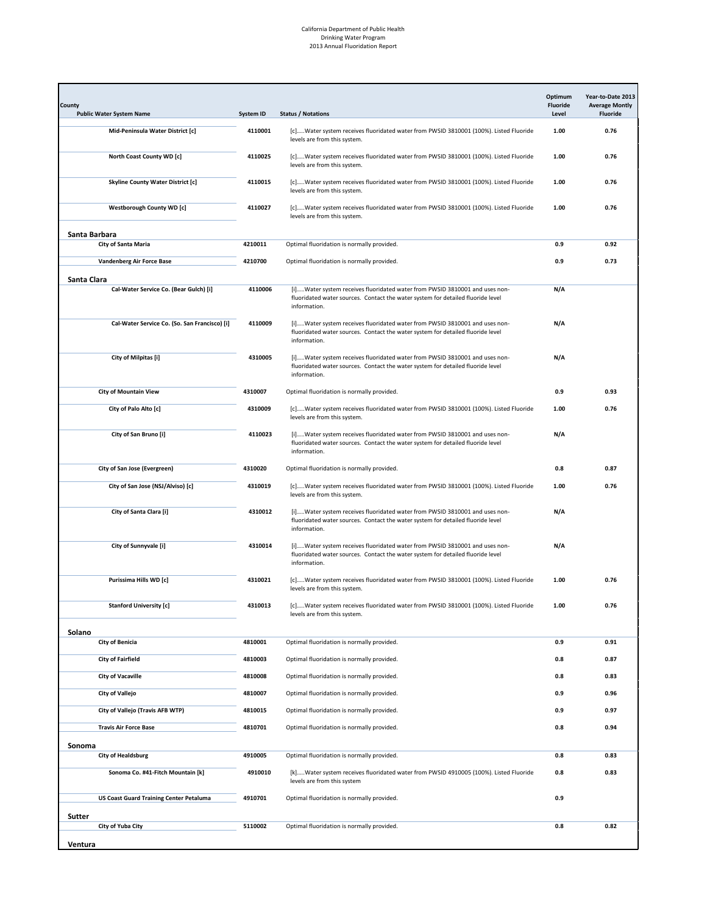| County<br><b>Public Water System Name</b>                      | <b>System ID</b>   | <b>Status / Notations</b>                                                                                                                                                      | Optimum<br><b>Fluoride</b><br>Level | Year-to-Date 2013<br><b>Average Montly</b><br><b>Fluoride</b> |
|----------------------------------------------------------------|--------------------|--------------------------------------------------------------------------------------------------------------------------------------------------------------------------------|-------------------------------------|---------------------------------------------------------------|
| Mid-Peninsula Water District [c]                               | 4110001            | [c]Water system receives fluoridated water from PWSID 3810001 (100%). Listed Fluoride<br>levels are from this system.                                                          | 1.00                                | 0.76                                                          |
| North Coast County WD [c]                                      | 4110025            | [c]Water system receives fluoridated water from PWSID 3810001 (100%). Listed Fluoride<br>levels are from this system.                                                          | 1.00                                | 0.76                                                          |
| <b>Skyline County Water District [c]</b>                       | 4110015            | [c]Water system receives fluoridated water from PWSID 3810001 (100%). Listed Fluoride<br>levels are from this system.                                                          | 1.00                                | 0.76                                                          |
| <b>Westborough County WD [c]</b>                               | 4110027            | [c]Water system receives fluoridated water from PWSID 3810001 (100%). Listed Fluoride<br>levels are from this system.                                                          | 1.00                                | 0.76                                                          |
| Santa Barbara                                                  |                    |                                                                                                                                                                                |                                     |                                                               |
| City of Santa Maria                                            | 4210011            | Optimal fluoridation is normally provided.                                                                                                                                     | 0.9                                 | 0.92                                                          |
| Vandenberg Air Force Base                                      | 4210700            | Optimal fluoridation is normally provided.                                                                                                                                     | 0.9                                 | 0.73                                                          |
| Santa Clara<br>Cal-Water Service Co. (Bear Gulch) [i]          | 4110006            | [i]Water system receives fluoridated water from PWSID 3810001 and uses non-<br>fluoridated water sources. Contact the water system for detailed fluoride level<br>information. | N/A                                 |                                                               |
| Cal-Water Service Co. (So. San Francisco) [i]                  | 4110009            | [i]Water system receives fluoridated water from PWSID 3810001 and uses non-<br>fluoridated water sources. Contact the water system for detailed fluoride level<br>information. | N/A                                 |                                                               |
| City of Milpitas [i]                                           | 4310005            | [i]Water system receives fluoridated water from PWSID 3810001 and uses non-<br>fluoridated water sources. Contact the water system for detailed fluoride level<br>information. | N/A                                 |                                                               |
| <b>City of Mountain View</b>                                   | 4310007            | Optimal fluoridation is normally provided.                                                                                                                                     | 0.9                                 | 0.93                                                          |
| City of Palo Alto [c]                                          | 4310009            | [c]Water system receives fluoridated water from PWSID 3810001 (100%). Listed Fluoride<br>levels are from this system.                                                          | 1.00                                | 0.76                                                          |
| City of San Bruno [i]                                          | 4110023            | [i]Water system receives fluoridated water from PWSID 3810001 and uses non-<br>fluoridated water sources. Contact the water system for detailed fluoride level<br>information. | N/A                                 |                                                               |
| City of San Jose (Evergreen)                                   | 4310020            | Optimal fluoridation is normally provided.                                                                                                                                     | 0.8                                 | 0.87                                                          |
| City of San Jose (NSJ/Alviso) [c]                              | 4310019            | [c]Water system receives fluoridated water from PWSID 3810001 (100%). Listed Fluoride<br>levels are from this system.                                                          | 1.00                                | 0.76                                                          |
| City of Santa Clara [i]                                        | 4310012            | [i]Water system receives fluoridated water from PWSID 3810001 and uses non-<br>fluoridated water sources. Contact the water system for detailed fluoride level<br>information. | N/A                                 |                                                               |
| City of Sunnyvale [i]                                          | 4310014            | [i]Water system receives fluoridated water from PWSID 3810001 and uses non-<br>fluoridated water sources. Contact the water system for detailed fluoride level<br>information. | N/A                                 |                                                               |
| Purissima Hills WD [c]                                         | 4310021            | [c]Water system receives fluoridated water from PWSID 3810001 (100%). Listed Fluoride<br>levels are from this system.                                                          | 1.00                                | 0.76                                                          |
| <b>Stanford University [c]</b>                                 | 4310013            | [c]Water system receives fluoridated water from PWSID 3810001 (100%). Listed Fluoride<br>levels are from this system.                                                          | 1.00                                | 0.76                                                          |
| Solano                                                         |                    |                                                                                                                                                                                |                                     |                                                               |
| City of Benicia                                                | 4810001            | Optimal fluoridation is normally provided.                                                                                                                                     | 0.9                                 | 0.91                                                          |
| <b>City of Fairfield</b>                                       | 4810003            | Optimal fluoridation is normally provided.                                                                                                                                     | 0.8                                 | 0.87                                                          |
| <b>City of Vacaville</b>                                       | 4810008            | Optimal fluoridation is normally provided.                                                                                                                                     | 0.8                                 | 0.83                                                          |
| City of Vallejo                                                | 4810007            | Optimal fluoridation is normally provided.                                                                                                                                     | 0.9                                 | 0.96                                                          |
| City of Vallejo (Travis AFB WTP)                               | 4810015            | Optimal fluoridation is normally provided.                                                                                                                                     | 0.9                                 | 0.97                                                          |
| <b>Travis Air Force Base</b>                                   | 4810701            | Optimal fluoridation is normally provided.                                                                                                                                     | 0.8                                 | 0.94                                                          |
| Sonoma                                                         |                    |                                                                                                                                                                                |                                     |                                                               |
| <b>City of Healdsburg</b><br>Sonoma Co. #41-Fitch Mountain [k] | 4910005<br>4910010 | Optimal fluoridation is normally provided.<br>[k]Water system receives fluoridated water from PWSID 4910005 (100%). Listed Fluoride                                            | 0.8<br>0.8                          | 0.83<br>0.83                                                  |
|                                                                |                    | levels are from this system                                                                                                                                                    |                                     |                                                               |
| <b>US Coast Guard Training Center Petaluma</b><br>Sutter       | 4910701            | Optimal fluoridation is normally provided.                                                                                                                                     | 0.9                                 |                                                               |
| City of Yuba City<br>Ventura                                   | 5110002            | Optimal fluoridation is normally provided.                                                                                                                                     | 0.8                                 | 0.82                                                          |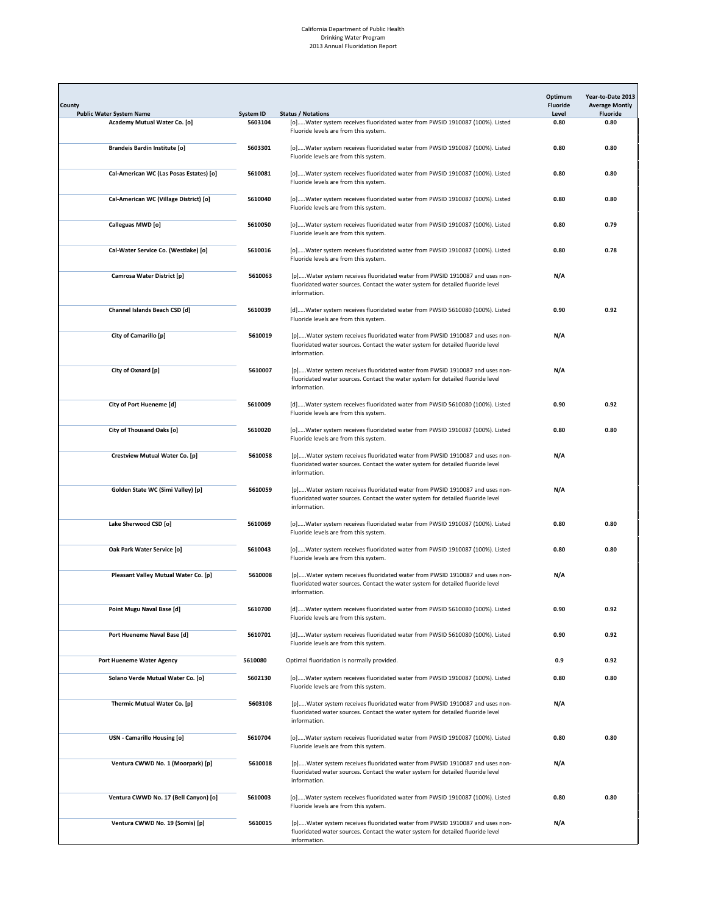| County<br><b>Public Water System Name</b> | System ID | <b>Status / Notations</b>                                                                                                                                                      | Optimum<br>Fluoride<br>Level | Year-to-Date 2013<br><b>Average Montly</b><br><b>Fluoride</b> |
|-------------------------------------------|-----------|--------------------------------------------------------------------------------------------------------------------------------------------------------------------------------|------------------------------|---------------------------------------------------------------|
| Academy Mutual Water Co. [o]              | 5603104   | [o]Water system receives fluoridated water from PWSID 1910087 (100%). Listed<br>Fluoride levels are from this system.                                                          | 0.80                         | 0.80                                                          |
| <b>Brandeis Bardin Institute [o]</b>      | 5603301   | [o]Water system receives fluoridated water from PWSID 1910087 (100%). Listed<br>Fluoride levels are from this system.                                                          | 0.80                         | 0.80                                                          |
| Cal-American WC (Las Posas Estates) [o]   | 5610081   | [o]Water system receives fluoridated water from PWSID 1910087 (100%). Listed<br>Fluoride levels are from this system.                                                          | 0.80                         | 0.80                                                          |
| Cal-American WC (Village District) [o]    | 5610040   | [o]Water system receives fluoridated water from PWSID 1910087 (100%). Listed<br>Fluoride levels are from this system.                                                          | 0.80                         | 0.80                                                          |
| Calleguas MWD [o]                         | 5610050   | [o]Water system receives fluoridated water from PWSID 1910087 (100%). Listed<br>Fluoride levels are from this system.                                                          | 0.80                         | 0.79                                                          |
| Cal-Water Service Co. (Westlake) [o]      | 5610016   | [o]Water system receives fluoridated water from PWSID 1910087 (100%). Listed<br>Fluoride levels are from this system.                                                          | 0.80                         | 0.78                                                          |
| Camrosa Water District [p]                | 5610063   | [p]Water system receives fluoridated water from PWSID 1910087 and uses non-<br>fluoridated water sources. Contact the water system for detailed fluoride level<br>information. | N/A                          |                                                               |
| Channel Islands Beach CSD [d]             | 5610039   | [d]Water system receives fluoridated water from PWSID 5610080 (100%). Listed<br>Fluoride levels are from this system.                                                          | 0.90                         | 0.92                                                          |
| City of Camarillo [p]                     | 5610019   | [p]Water system receives fluoridated water from PWSID 1910087 and uses non-<br>fluoridated water sources. Contact the water system for detailed fluoride level<br>information. | N/A                          |                                                               |
| City of Oxnard [p]                        | 5610007   | [p]Water system receives fluoridated water from PWSID 1910087 and uses non-<br>fluoridated water sources. Contact the water system for detailed fluoride level<br>information. | N/A                          |                                                               |
| City of Port Hueneme [d]                  | 5610009   | [d]Water system receives fluoridated water from PWSID 5610080 (100%). Listed<br>Fluoride levels are from this system.                                                          | 0.90                         | 0.92                                                          |
| City of Thousand Oaks [o]                 | 5610020   | [o]Water system receives fluoridated water from PWSID 1910087 (100%). Listed<br>Fluoride levels are from this system.                                                          | 0.80                         | 0.80                                                          |
| Crestview Mutual Water Co. [p]            | 5610058   | [p]Water system receives fluoridated water from PWSID 1910087 and uses non-<br>fluoridated water sources. Contact the water system for detailed fluoride level<br>information. | N/A                          |                                                               |
| Golden State WC (Simi Valley) [p]         | 5610059   | [p]Water system receives fluoridated water from PWSID 1910087 and uses non-<br>fluoridated water sources. Contact the water system for detailed fluoride level<br>information. | N/A                          |                                                               |
| Lake Sherwood CSD [o]                     | 5610069   | [o]Water system receives fluoridated water from PWSID 1910087 (100%). Listed<br>Fluoride levels are from this system.                                                          | 0.80                         | 0.80                                                          |
| Oak Park Water Service [o]                | 5610043   | [o]Water system receives fluoridated water from PWSID 1910087 (100%). Listed<br>Fluoride levels are from this system.                                                          | 0.80                         | 0.80                                                          |
| Pleasant Valley Mutual Water Co. [p]      | 5610008   | [p]Water system receives fluoridated water from PWSID 1910087 and uses non-<br>fluoridated water sources. Contact the water system for detailed fluoride level<br>information. | N/A                          |                                                               |
| Point Mugu Naval Base [d]                 | 5610700   | [d]Water system receives fluoridated water from PWSID 5610080 (100%). Listed<br>Fluoride levels are from this system.                                                          | 0.90                         | 0.92                                                          |
| Port Hueneme Naval Base [d]               | 5610701   | [d]Water system receives fluoridated water from PWSID 5610080 (100%). Listed<br>Fluoride levels are from this system.                                                          | 0.90                         | 0.92                                                          |
| <b>Port Hueneme Water Agency</b>          | 5610080   | Optimal fluoridation is normally provided.                                                                                                                                     | 0.9                          | 0.92                                                          |
| Solano Verde Mutual Water Co. [o]         | 5602130   | [o]Water system receives fluoridated water from PWSID 1910087 (100%). Listed<br>Fluoride levels are from this system.                                                          | 0.80                         | 0.80                                                          |
| Thermic Mutual Water Co. [p]              | 5603108   | [p]Water system receives fluoridated water from PWSID 1910087 and uses non-<br>fluoridated water sources. Contact the water system for detailed fluoride level<br>information. | N/A                          |                                                               |
| USN - Camarillo Housing [o]               | 5610704   | [o]Water system receives fluoridated water from PWSID 1910087 (100%). Listed<br>Fluoride levels are from this system.                                                          | 0.80                         | 0.80                                                          |
| Ventura CWWD No. 1 (Moorpark) [p]         | 5610018   | [p]Water system receives fluoridated water from PWSID 1910087 and uses non-<br>fluoridated water sources. Contact the water system for detailed fluoride level<br>information. | N/A                          |                                                               |
| Ventura CWWD No. 17 (Bell Canyon) [o]     | 5610003   | [o]Water system receives fluoridated water from PWSID 1910087 (100%). Listed<br>Fluoride levels are from this system.                                                          | 0.80                         | 0.80                                                          |
| Ventura CWWD No. 19 (Somis) [p]           | 5610015   | [p]Water system receives fluoridated water from PWSID 1910087 and uses non-<br>fluoridated water sources. Contact the water system for detailed fluoride level<br>information. | N/A                          |                                                               |